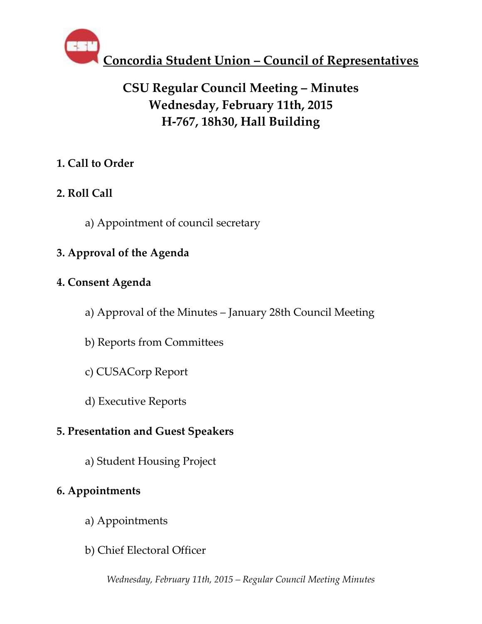

## **CSU Regular Council Meeting – Minutes Wednesday, February 11th, 2015 H-767, 18h30, Hall Building**

### **1. Call to Order**

### **2. Roll Call**

a) Appointment of council secretary

### **3. Approval of the Agenda**

### **4. Consent Agenda**

- a) Approval of the Minutes January 28th Council Meeting
- b) Reports from Committees
- c) CUSACorp Report
- d) Executive Reports

### **5. Presentation and Guest Speakers**

a) Student Housing Project

### **6. Appointments**

- a) Appointments
- b) Chief Electoral Officer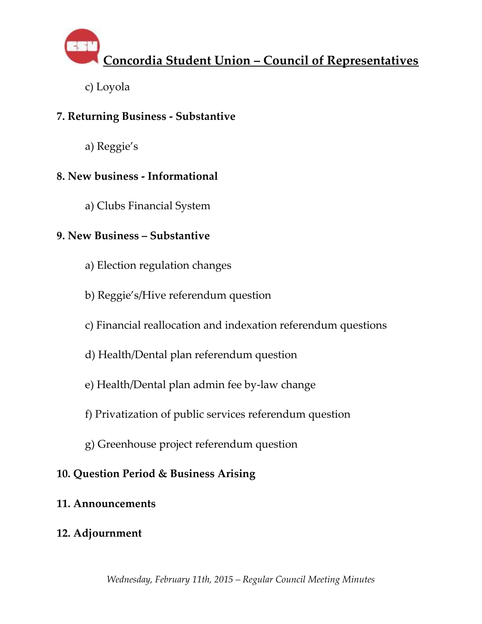

c) Loyola

### **7. Returning Business - Substantive**

a) Reggie's

### **8. New business - Informational**

a) Clubs Financial System

### **9. New Business – Substantive**

- a) Election regulation changes
- b) Reggie's/Hive referendum question
- c) Financial reallocation and indexation referendum questions
- d) Health/Dental plan referendum question
- e) Health/Dental plan admin fee by-law change
- f) Privatization of public services referendum question
- g) Greenhouse project referendum question

### **10. Question Period & Business Arising**

### **11. Announcements**

### **12. Adjournment**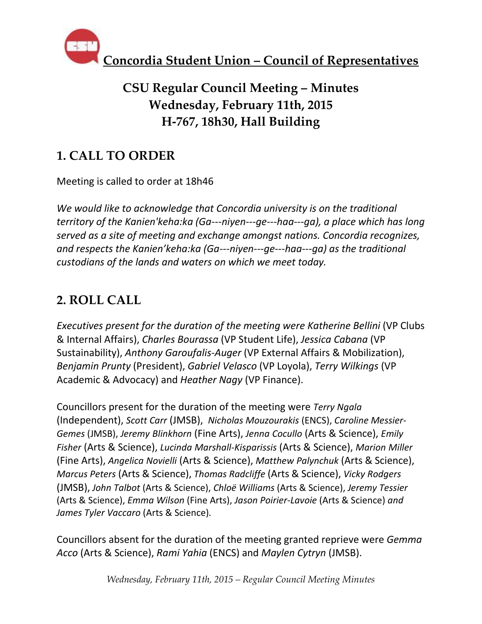

## **CSU Regular Council Meeting – Minutes Wednesday, February 11th, 2015 H-767, 18h30, Hall Building**

## **1. CALL TO ORDER**

Meeting is called to order at 18h46

*We would like to acknowledge that Concordia university is on the traditional territory of the Kanien'keha:ka (Ga--‐niyen--‐ge--‐haa--‐ga), a place which has long served as a site of meeting and exchange amongst nations. Concordia recognizes, and respects the Kanien'keha:ka (Ga--‐niyen--‐ge--‐haa--‐ga) as the traditional custodians of the lands and waters on which we meet today.*

## **2. ROLL CALL**

*Executives present for the duration of the meeting were Katherine Bellini* (VP Clubs & Internal Affairs), *Charles Bourassa* (VP Student Life), *Jessica Cabana* (VP Sustainability), *Anthony Garoufalis-Auger* (VP External Affairs & Mobilization), *Benjamin Prunty* (President), *Gabriel Velasco* (VP Loyola), *Terry Wilkings* (VP Academic & Advocacy) and *Heather Nagy* (VP Finance).

Councillors present for the duration of the meeting were *Terry Ngala* (Independent), *Scott Carr* (JMSB), *Nicholas Mouzourakis* (ENCS), *Caroline Messier-Gemes* (JMSB), *Jeremy Blinkhorn* (Fine Arts), *Jenna Cocullo* (Arts & Science), *Emily Fisher* (Arts & Science), *Lucinda Marshall-Kisparissis* (Arts & Science), *Marion Miller* (Fine Arts), *Angelica Novielli* (Arts & Science), *Matthew Palynchuk* (Arts & Science), *Marcus Peters* (Arts & Science), *Thomas Radcliffe* (Arts & Science), *Vicky Rodgers*  (JMSB), *John Talbot* (Arts & Science), *Chloë Williams* (Arts & Science), *Jeremy Tessier*  (Arts & Science), *Emma Wilson* (Fine Arts), *Jason Poirier-Lavoie* (Arts & Science) *and James Tyler Vaccaro* (Arts & Science)*.* 

Councillors absent for the duration of the meeting granted reprieve were *Gemma Acco* (Arts & Science), *Rami Yahia* (ENCS) and *Maylen Cytryn* (JMSB).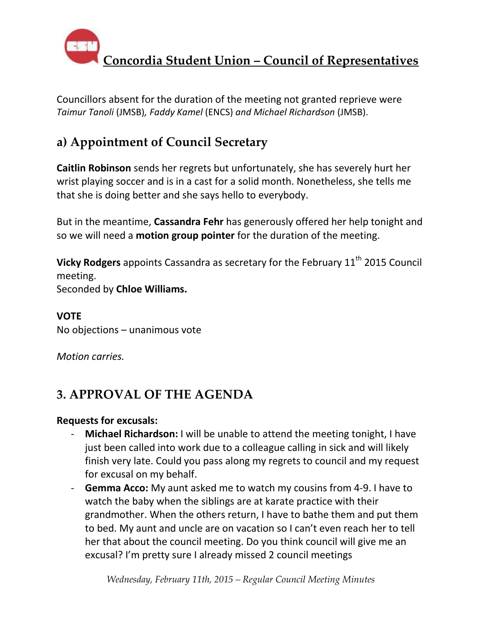

Councillors absent for the duration of the meeting not granted reprieve were *Taimur Tanoli* (JMSB)*, Faddy Kamel* (ENCS) *and Michael Richardson* (JMSB).

## **a) Appointment of Council Secretary**

**Caitlin Robinson** sends her regrets but unfortunately, she has severely hurt her wrist playing soccer and is in a cast for a solid month. Nonetheless, she tells me that she is doing better and she says hello to everybody.

But in the meantime, **Cassandra Fehr** has generously offered her help tonight and so we will need a **motion group pointer** for the duration of the meeting.

**Vicky Rodgers** appoints Cassandra as secretary for the February 11<sup>th</sup> 2015 Council meeting.

Seconded by **Chloe Williams.**

**VOTE** No objections – unanimous vote

*Motion carries.*

## **3. APPROVAL OF THE AGENDA**

### **Requests for excusals:**

- **Michael Richardson:** I will be unable to attend the meeting tonight, I have just been called into work due to a colleague calling in sick and will likely finish very late. Could you pass along my regrets to council and my request for excusal on my behalf.
- **Gemma Acco:** My aunt asked me to watch my cousins from 4-9. I have to watch the baby when the siblings are at karate practice with their grandmother. When the others return, I have to bathe them and put them to bed. My aunt and uncle are on vacation so I can't even reach her to tell her that about the council meeting. Do you think council will give me an excusal? I'm pretty sure I already missed 2 council meetings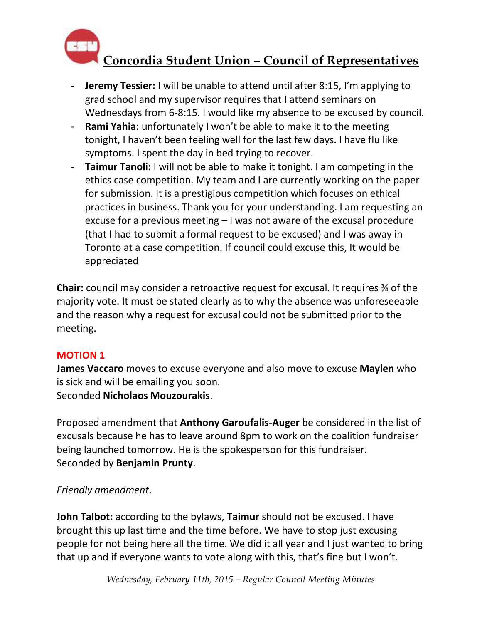

- **Jeremy Tessier:** I will be unable to attend until after 8:15, I'm applying to grad school and my supervisor requires that I attend seminars on Wednesdays from 6-8:15. I would like my absence to be excused by council.
- **Rami Yahia:** unfortunately I won't be able to make it to the meeting tonight, I haven't been feeling well for the last few days. I have flu like symptoms. I spent the day in bed trying to recover.
- **Taimur Tanoli:** I will not be able to make it tonight. I am competing in the ethics case competition. My team and I are currently working on the paper for submission. It is a prestigious competition which focuses on ethical practices in business. Thank you for your understanding. I am requesting an excuse for a previous meeting – I was not aware of the excusal procedure (that I had to submit a formal request to be excused) and I was away in Toronto at a case competition. If council could excuse this, It would be appreciated

**Chair:** council may consider a retroactive request for excusal. It requires ¾ of the majority vote. It must be stated clearly as to why the absence was unforeseeable and the reason why a request for excusal could not be submitted prior to the meeting.

### **MOTION 1**

**James Vaccaro** moves to excuse everyone and also move to excuse **Maylen** who is sick and will be emailing you soon. Seconded **Nicholaos Mouzourakis**.

Proposed amendment that **Anthony Garoufalis-Auger** be considered in the list of excusals because he has to leave around 8pm to work on the coalition fundraiser being launched tomorrow. He is the spokesperson for this fundraiser. Seconded by **Benjamin Prunty**.

### *Friendly amendment*.

**John Talbot:** according to the bylaws, **Taimur** should not be excused. I have brought this up last time and the time before. We have to stop just excusing people for not being here all the time. We did it all year and I just wanted to bring that up and if everyone wants to vote along with this, that's fine but I won't.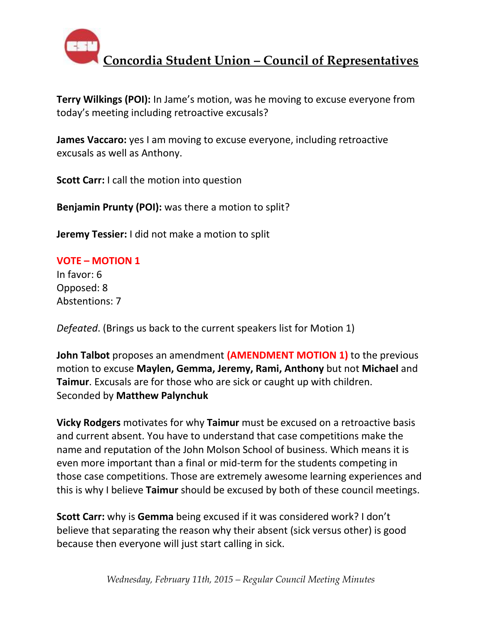

**Terry Wilkings (POI):** In Jame's motion, was he moving to excuse everyone from today's meeting including retroactive excusals?

**James Vaccaro:** yes I am moving to excuse everyone, including retroactive excusals as well as Anthony.

**Scott Carr:** I call the motion into question

**Benjamin Prunty (POI):** was there a motion to split?

**Jeremy Tessier:** I did not make a motion to split

#### **VOTE – MOTION 1**

In favor: 6 Opposed: 8 Abstentions: 7

*Defeated*. (Brings us back to the current speakers list for Motion 1)

**John Talbot** proposes an amendment **(AMENDMENT MOTION 1)** to the previous motion to excuse **Maylen, Gemma, Jeremy, Rami, Anthony** but not **Michael** and **Taimur**. Excusals are for those who are sick or caught up with children. Seconded by **Matthew Palynchuk**

**Vicky Rodgers** motivates for why **Taimur** must be excused on a retroactive basis and current absent. You have to understand that case competitions make the name and reputation of the John Molson School of business. Which means it is even more important than a final or mid-term for the students competing in those case competitions. Those are extremely awesome learning experiences and this is why I believe **Taimur** should be excused by both of these council meetings.

**Scott Carr:** why is **Gemma** being excused if it was considered work? I don't believe that separating the reason why their absent (sick versus other) is good because then everyone will just start calling in sick.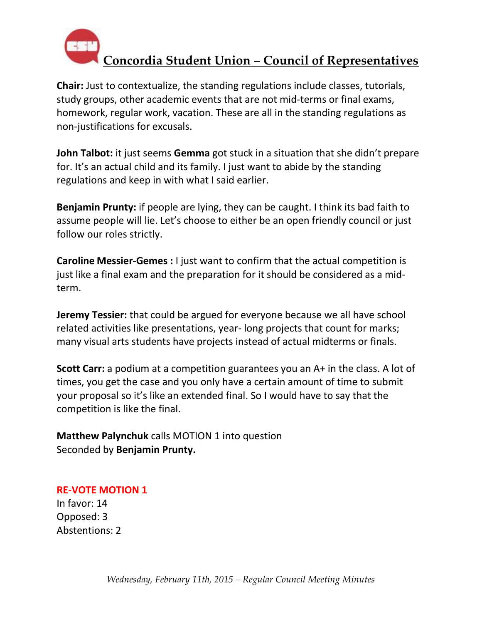

**Chair:** Just to contextualize, the standing regulations include classes, tutorials, study groups, other academic events that are not mid-terms or final exams, homework, regular work, vacation. These are all in the standing regulations as non-justifications for excusals.

**John Talbot:** it just seems **Gemma** got stuck in a situation that she didn't prepare for. It's an actual child and its family. I just want to abide by the standing regulations and keep in with what I said earlier.

**Benjamin Prunty:** if people are lying, they can be caught. I think its bad faith to assume people will lie. Let's choose to either be an open friendly council or just follow our roles strictly.

**Caroline Messier-Gemes :** I just want to confirm that the actual competition is just like a final exam and the preparation for it should be considered as a midterm.

**Jeremy Tessier:** that could be argued for everyone because we all have school related activities like presentations, year- long projects that count for marks; many visual arts students have projects instead of actual midterms or finals.

**Scott Carr:** a podium at a competition guarantees you an A+ in the class. A lot of times, you get the case and you only have a certain amount of time to submit your proposal so it's like an extended final. So I would have to say that the competition is like the final.

**Matthew Palynchuk** calls MOTION 1 into question Seconded by **Benjamin Prunty.** 

**RE-VOTE MOTION 1** In favor: 14 Opposed: 3 Abstentions: 2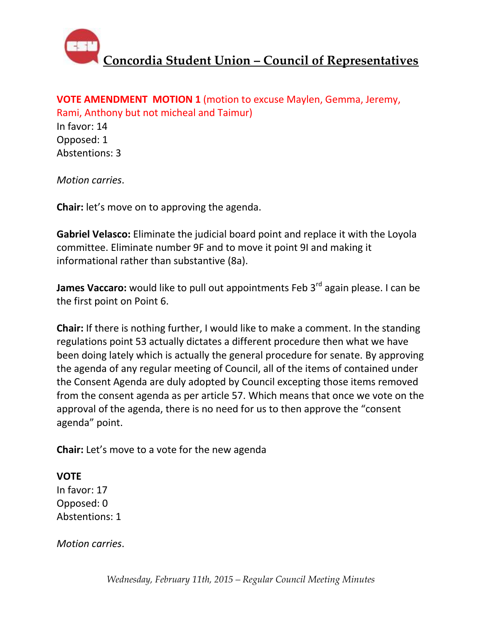

#### **VOTE AMENDMENT MOTION 1** (motion to excuse Maylen, Gemma, Jeremy, Rami, Anthony but not micheal and Taimur)

In favor: 14 Opposed: 1 Abstentions: 3

*Motion carries*.

**Chair:** let's move on to approving the agenda.

**Gabriel Velasco:** Eliminate the judicial board point and replace it with the Loyola committee. Eliminate number 9F and to move it point 9I and making it informational rather than substantive (8a).

**James Vaccaro:** would like to pull out appointments Feb 3<sup>rd</sup> again please. I can be the first point on Point 6.

**Chair:** If there is nothing further, I would like to make a comment. In the standing regulations point 53 actually dictates a different procedure then what we have been doing lately which is actually the general procedure for senate. By approving the agenda of any regular meeting of Council, all of the items of contained under the Consent Agenda are duly adopted by Council excepting those items removed from the consent agenda as per article 57. Which means that once we vote on the approval of the agenda, there is no need for us to then approve the "consent agenda" point.

**Chair:** Let's move to a vote for the new agenda

### **VOTE**

In favor: 17 Opposed: 0 Abstentions: 1

*Motion carries*.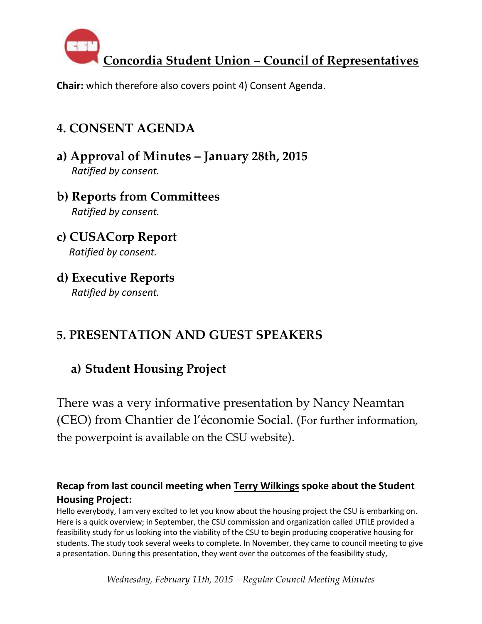

**Chair:** which therefore also covers point 4) Consent Agenda.

## **4. CONSENT AGENDA**

- **a) Approval of Minutes – January 28th, 2015**  *Ratified by consent.*
- **b) Reports from Committees**  *Ratified by consent.*
- **c) CUSACorp Report**  *Ratified by consent.*
- **d) Executive Reports**   *Ratified by consent.*

# **5. PRESENTATION AND GUEST SPEAKERS**

## **a) Student Housing Project**

There was a very informative presentation by Nancy Neamtan (CEO) from Chantier de l'économie Social. (For further information, the powerpoint is available on the CSU website).

### **Recap from last council meeting when Terry Wilkings spoke about the Student Housing Project:**

Hello everybody, I am very excited to let you know about the housing project the CSU is embarking on. Here is a quick overview; in September, the CSU commission and organization called UTILE provided a feasibility study for us looking into the viability of the CSU to begin producing cooperative housing for students. The study took several weeks to complete. In November, they came to council meeting to give a presentation. During this presentation, they went over the outcomes of the feasibility study,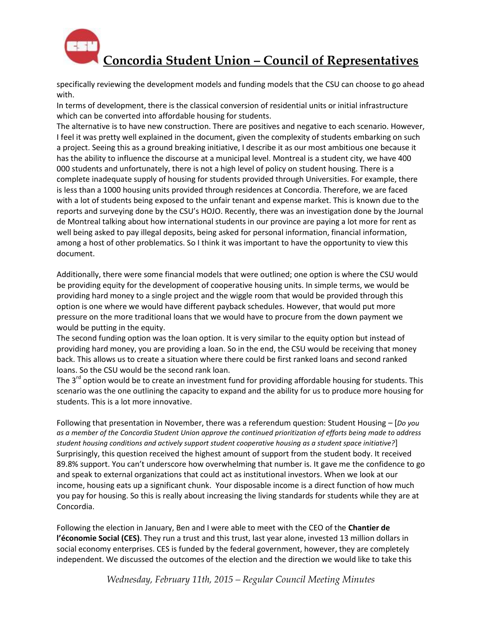

specifically reviewing the development models and funding models that the CSU can choose to go ahead with.

In terms of development, there is the classical conversion of residential units or initial infrastructure which can be converted into affordable housing for students.

The alternative is to have new construction. There are positives and negative to each scenario. However, I feel it was pretty well explained in the document, given the complexity of students embarking on such a project. Seeing this as a ground breaking initiative, I describe it as our most ambitious one because it has the ability to influence the discourse at a municipal level. Montreal is a student city, we have 400 000 students and unfortunately, there is not a high level of policy on student housing. There is a complete inadequate supply of housing for students provided through Universities. For example, there is less than a 1000 housing units provided through residences at Concordia. Therefore, we are faced with a lot of students being exposed to the unfair tenant and expense market. This is known due to the reports and surveying done by the CSU's HOJO. Recently, there was an investigation done by the Journal de Montreal talking about how international students in our province are paying a lot more for rent as well being asked to pay illegal deposits, being asked for personal information, financial information, among a host of other problematics. So I think it was important to have the opportunity to view this document.

Additionally, there were some financial models that were outlined; one option is where the CSU would be providing equity for the development of cooperative housing units. In simple terms, we would be providing hard money to a single project and the wiggle room that would be provided through this option is one where we would have different payback schedules. However, that would put more pressure on the more traditional loans that we would have to procure from the down payment we would be putting in the equity.

The second funding option was the loan option. It is very similar to the equity option but instead of providing hard money, you are providing a loan. So in the end, the CSU would be receiving that money back. This allows us to create a situation where there could be first ranked loans and second ranked loans. So the CSU would be the second rank loan.

The  $3<sup>rd</sup>$  option would be to create an investment fund for providing affordable housing for students. This scenario was the one outlining the capacity to expand and the ability for us to produce more housing for students. This is a lot more innovative.

Following that presentation in November, there was a referendum question: Student Housing – [*Do you as a member of the Concordia Student Union approve the continued prioritization of efforts being made to address student housing conditions and actively support student cooperative housing as a student space initiative?*] Surprisingly, this question received the highest amount of support from the student body. It received 89.8% support. You can't underscore how overwhelming that number is. It gave me the confidence to go and speak to external organizations that could act as institutional investors. When we look at our income, housing eats up a significant chunk. Your disposable income is a direct function of how much you pay for housing. So this is really about increasing the living standards for students while they are at Concordia.

Following the election in January, Ben and I were able to meet with the CEO of the **Chantier de l'économie Social (CES)**. They run a trust and this trust, last year alone, invested 13 million dollars in social economy enterprises. CES is funded by the federal government, however, they are completely independent. We discussed the outcomes of the election and the direction we would like to take this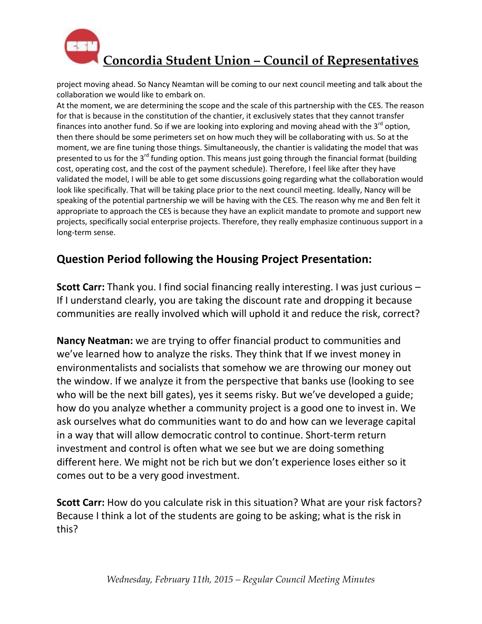

project moving ahead. So Nancy Neamtan will be coming to our next council meeting and talk about the collaboration we would like to embark on.

At the moment, we are determining the scope and the scale of this partnership with the CES. The reason for that is because in the constitution of the chantier, it exclusively states that they cannot transfer finances into another fund. So if we are looking into exploring and moving ahead with the  $3<sup>rd</sup>$  option, then there should be some perimeters set on how much they will be collaborating with us. So at the moment, we are fine tuning those things. Simultaneously, the chantier is validating the model that was presented to us for the  $3^{rd}$  funding option. This means just going through the financial format (building cost, operating cost, and the cost of the payment schedule). Therefore, I feel like after they have validated the model, I will be able to get some discussions going regarding what the collaboration would look like specifically. That will be taking place prior to the next council meeting. Ideally, Nancy will be speaking of the potential partnership we will be having with the CES. The reason why me and Ben felt it appropriate to approach the CES is because they have an explicit mandate to promote and support new projects, specifically social enterprise projects. Therefore, they really emphasize continuous support in a long-term sense.

### **Question Period following the Housing Project Presentation:**

**Scott Carr:** Thank you. I find social financing really interesting. I was just curious – If I understand clearly, you are taking the discount rate and dropping it because communities are really involved which will uphold it and reduce the risk, correct?

**Nancy Neatman:** we are trying to offer financial product to communities and we've learned how to analyze the risks. They think that If we invest money in environmentalists and socialists that somehow we are throwing our money out the window. If we analyze it from the perspective that banks use (looking to see who will be the next bill gates), yes it seems risky. But we've developed a guide; how do you analyze whether a community project is a good one to invest in. We ask ourselves what do communities want to do and how can we leverage capital in a way that will allow democratic control to continue. Short-term return investment and control is often what we see but we are doing something different here. We might not be rich but we don't experience loses either so it comes out to be a very good investment.

**Scott Carr:** How do you calculate risk in this situation? What are your risk factors? Because I think a lot of the students are going to be asking; what is the risk in this?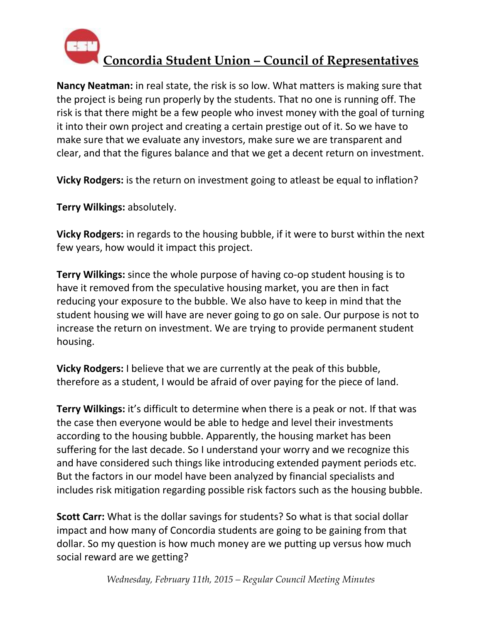

**Nancy Neatman:** in real state, the risk is so low. What matters is making sure that the project is being run properly by the students. That no one is running off. The risk is that there might be a few people who invest money with the goal of turning it into their own project and creating a certain prestige out of it. So we have to make sure that we evaluate any investors, make sure we are transparent and clear, and that the figures balance and that we get a decent return on investment.

**Vicky Rodgers:** is the return on investment going to atleast be equal to inflation?

**Terry Wilkings:** absolutely.

**Vicky Rodgers:** in regards to the housing bubble, if it were to burst within the next few years, how would it impact this project.

**Terry Wilkings:** since the whole purpose of having co-op student housing is to have it removed from the speculative housing market, you are then in fact reducing your exposure to the bubble. We also have to keep in mind that the student housing we will have are never going to go on sale. Our purpose is not to increase the return on investment. We are trying to provide permanent student housing.

**Vicky Rodgers:** I believe that we are currently at the peak of this bubble, therefore as a student, I would be afraid of over paying for the piece of land.

**Terry Wilkings:** it's difficult to determine when there is a peak or not. If that was the case then everyone would be able to hedge and level their investments according to the housing bubble. Apparently, the housing market has been suffering for the last decade. So I understand your worry and we recognize this and have considered such things like introducing extended payment periods etc. But the factors in our model have been analyzed by financial specialists and includes risk mitigation regarding possible risk factors such as the housing bubble.

**Scott Carr:** What is the dollar savings for students? So what is that social dollar impact and how many of Concordia students are going to be gaining from that dollar. So my question is how much money are we putting up versus how much social reward are we getting?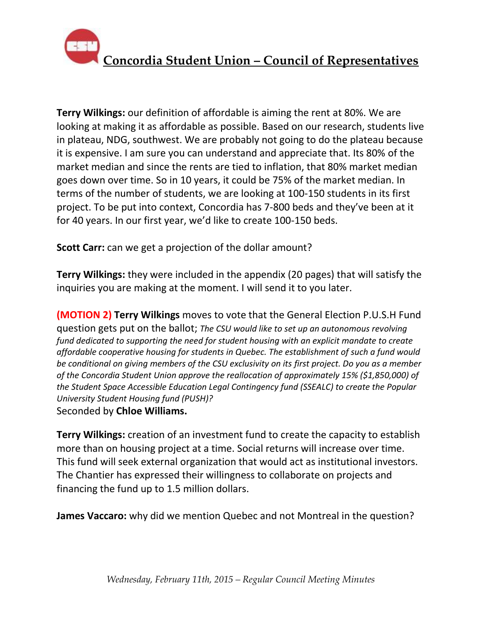

**Terry Wilkings:** our definition of affordable is aiming the rent at 80%. We are looking at making it as affordable as possible. Based on our research, students live in plateau, NDG, southwest. We are probably not going to do the plateau because it is expensive. I am sure you can understand and appreciate that. Its 80% of the market median and since the rents are tied to inflation, that 80% market median goes down over time. So in 10 years, it could be 75% of the market median. In terms of the number of students, we are looking at 100-150 students in its first project. To be put into context, Concordia has 7-800 beds and they've been at it for 40 years. In our first year, we'd like to create 100-150 beds.

**Scott Carr:** can we get a projection of the dollar amount?

**Terry Wilkings:** they were included in the appendix (20 pages) that will satisfy the inquiries you are making at the moment. I will send it to you later.

**(MOTION 2) Terry Wilkings** moves to vote that the General Election P.U.S.H Fund question gets put on the ballot; *The CSU would like to set up an autonomous revolving fund dedicated to supporting the need for student housing with an explicit mandate to create affordable cooperative housing for students in Quebec. The establishment of such a fund would be conditional on giving members of the CSU exclusivity on its first project. Do you as a member of the Concordia Student Union approve the reallocation of approximately 15% (\$1,850,000) of the Student Space Accessible Education Legal Contingency fund (SSEALC) to create the Popular University Student Housing fund (PUSH)?* Seconded by **Chloe Williams.** 

**Terry Wilkings:** creation of an investment fund to create the capacity to establish more than on housing project at a time. Social returns will increase over time. This fund will seek external organization that would act as institutional investors. The Chantier has expressed their willingness to collaborate on projects and financing the fund up to 1.5 million dollars.

**James Vaccaro:** why did we mention Quebec and not Montreal in the question?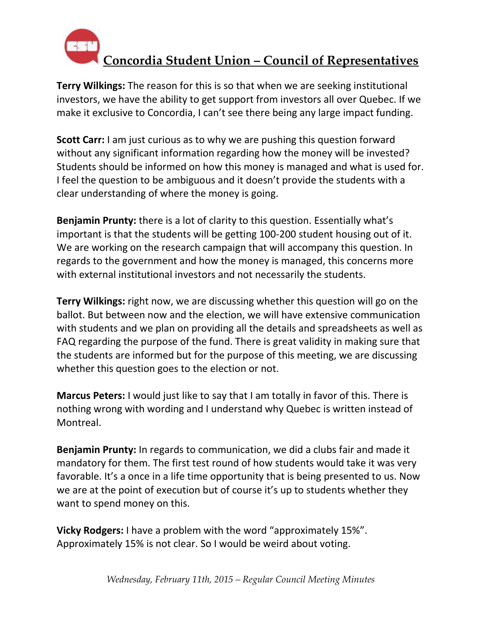

**Terry Wilkings:** The reason for this is so that when we are seeking institutional investors, we have the ability to get support from investors all over Quebec. If we make it exclusive to Concordia, I can't see there being any large impact funding.

**Scott Carr:** I am just curious as to why we are pushing this question forward without any significant information regarding how the money will be invested? Students should be informed on how this money is managed and what is used for. I feel the question to be ambiguous and it doesn't provide the students with a clear understanding of where the money is going.

**Benjamin Prunty:** there is a lot of clarity to this question. Essentially what's important is that the students will be getting 100-200 student housing out of it. We are working on the research campaign that will accompany this question. In regards to the government and how the money is managed, this concerns more with external institutional investors and not necessarily the students.

**Terry Wilkings:** right now, we are discussing whether this question will go on the ballot. But between now and the election, we will have extensive communication with students and we plan on providing all the details and spreadsheets as well as FAQ regarding the purpose of the fund. There is great validity in making sure that the students are informed but for the purpose of this meeting, we are discussing whether this question goes to the election or not.

**Marcus Peters:** I would just like to say that I am totally in favor of this. There is nothing wrong with wording and I understand why Quebec is written instead of Montreal.

**Benjamin Prunty:** In regards to communication, we did a clubs fair and made it mandatory for them. The first test round of how students would take it was very favorable. It's a once in a life time opportunity that is being presented to us. Now we are at the point of execution but of course it's up to students whether they want to spend money on this.

**Vicky Rodgers:** I have a problem with the word "approximately 15%". Approximately 15% is not clear. So I would be weird about voting.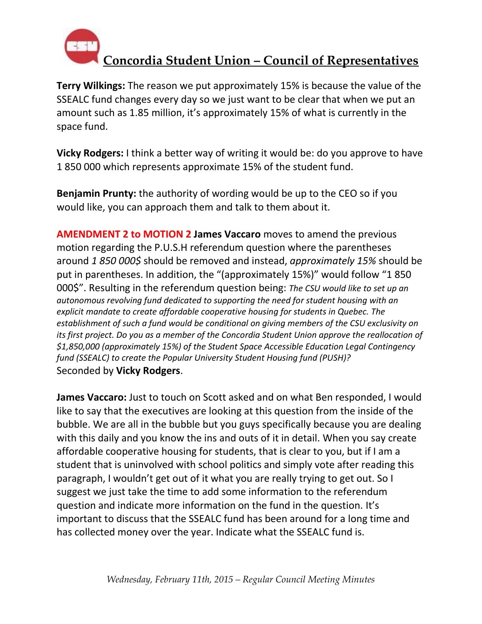

**Terry Wilkings:** The reason we put approximately 15% is because the value of the SSEALC fund changes every day so we just want to be clear that when we put an amount such as 1.85 million, it's approximately 15% of what is currently in the space fund.

**Vicky Rodgers:** I think a better way of writing it would be: do you approve to have 1 850 000 which represents approximate 15% of the student fund.

**Benjamin Prunty:** the authority of wording would be up to the CEO so if you would like, you can approach them and talk to them about it.

**AMENDMENT 2 to MOTION 2 James Vaccaro** moves to amend the previous motion regarding the P.U.S.H referendum question where the parentheses around *1 850 000\$* should be removed and instead, *approximately 15%* should be put in parentheses. In addition, the "(approximately 15%)" would follow "1 850 000\$". Resulting in the referendum question being: *The CSU would like to set up an autonomous revolving fund dedicated to supporting the need for student housing with an explicit mandate to create affordable cooperative housing for students in Quebec. The establishment of such a fund would be conditional on giving members of the CSU exclusivity on its first project. Do you as a member of the Concordia Student Union approve the reallocation of \$1,850,000 (approximately 15%) of the Student Space Accessible Education Legal Contingency fund (SSEALC) to create the Popular University Student Housing fund (PUSH)?* Seconded by **Vicky Rodgers**.

**James Vaccaro:** Just to touch on Scott asked and on what Ben responded, I would like to say that the executives are looking at this question from the inside of the bubble. We are all in the bubble but you guys specifically because you are dealing with this daily and you know the ins and outs of it in detail. When you say create affordable cooperative housing for students, that is clear to you, but if I am a student that is uninvolved with school politics and simply vote after reading this paragraph, I wouldn't get out of it what you are really trying to get out. So I suggest we just take the time to add some information to the referendum question and indicate more information on the fund in the question. It's important to discuss that the SSEALC fund has been around for a long time and has collected money over the year. Indicate what the SSEALC fund is.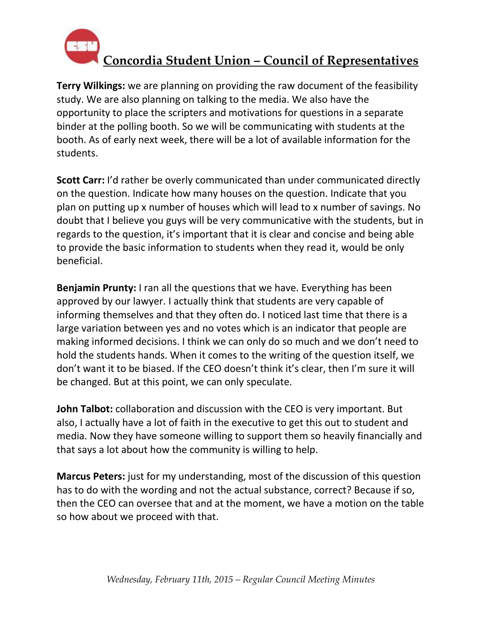

**Terry Wilkings:** we are planning on providing the raw document of the feasibility study. We are also planning on talking to the media. We also have the opportunity to place the scripters and motivations for questions in a separate binder at the polling booth. So we will be communicating with students at the booth. As of early next week, there will be a lot of available information for the students.

**Scott Carr:** I'd rather be overly communicated than under communicated directly on the question. Indicate how many houses on the question. Indicate that you plan on putting up x number of houses which will lead to x number of savings. No doubt that I believe you guys will be very communicative with the students, but in regards to the question, it's important that it is clear and concise and being able to provide the basic information to students when they read it, would be only beneficial.

**Benjamin Prunty:** I ran all the questions that we have. Everything has been approved by our lawyer. I actually think that students are very capable of informing themselves and that they often do. I noticed last time that there is a large variation between yes and no votes which is an indicator that people are making informed decisions. I think we can only do so much and we don't need to hold the students hands. When it comes to the writing of the question itself, we don't want it to be biased. If the CEO doesn't think it's clear, then I'm sure it will be changed. But at this point, we can only speculate.

**John Talbot:** collaboration and discussion with the CEO is very important. But also, I actually have a lot of faith in the executive to get this out to student and media. Now they have someone willing to support them so heavily financially and that says a lot about how the community is willing to help.

**Marcus Peters:** just for my understanding, most of the discussion of this question has to do with the wording and not the actual substance, correct? Because if so, then the CEO can oversee that and at the moment, we have a motion on the table so how about we proceed with that.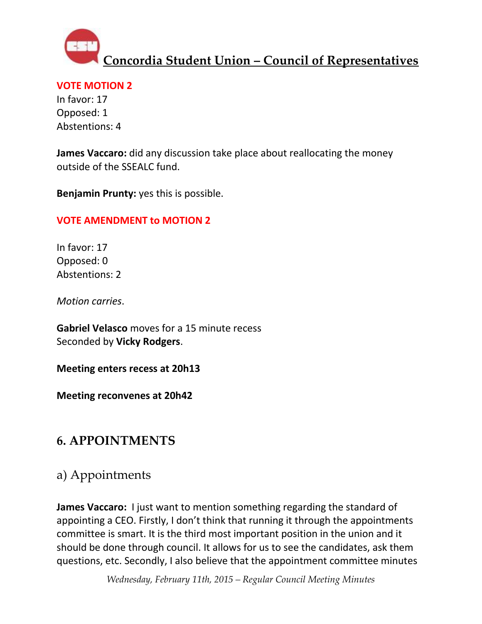

#### **VOTE MOTION 2**

In favor: 17 Opposed: 1 Abstentions: 4

**James Vaccaro:** did any discussion take place about reallocating the money outside of the SSEALC fund.

**Benjamin Prunty:** yes this is possible.

### **VOTE AMENDMENT to MOTION 2**

In favor: 17 Opposed: 0 Abstentions: 2

*Motion carries*.

**Gabriel Velasco** moves for a 15 minute recess Seconded by **Vicky Rodgers**.

**Meeting enters recess at 20h13**

**Meeting reconvenes at 20h42**

### **6. APPOINTMENTS**

## a) Appointments

**James Vaccaro:** I just want to mention something regarding the standard of appointing a CEO. Firstly, I don't think that running it through the appointments committee is smart. It is the third most important position in the union and it should be done through council. It allows for us to see the candidates, ask them questions, etc. Secondly, I also believe that the appointment committee minutes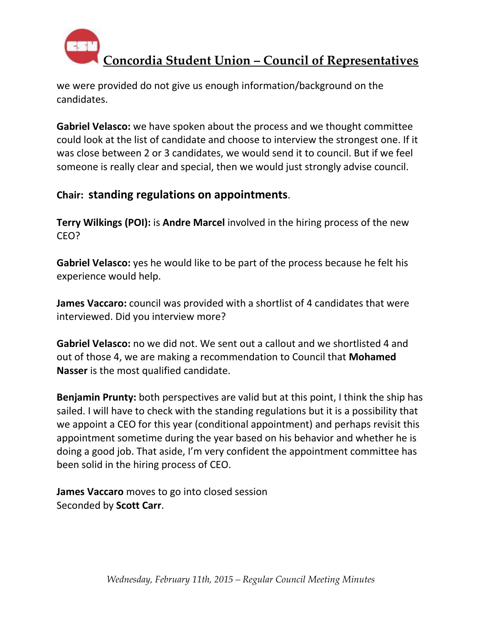

we were provided do not give us enough information/background on the candidates.

**Gabriel Velasco:** we have spoken about the process and we thought committee could look at the list of candidate and choose to interview the strongest one. If it was close between 2 or 3 candidates, we would send it to council. But if we feel someone is really clear and special, then we would just strongly advise council.

### **Chair: standing regulations on appointments**.

**Terry Wilkings (POI):** is **Andre Marcel** involved in the hiring process of the new CEO?

**Gabriel Velasco:** yes he would like to be part of the process because he felt his experience would help.

**James Vaccaro:** council was provided with a shortlist of 4 candidates that were interviewed. Did you interview more?

**Gabriel Velasco:** no we did not. We sent out a callout and we shortlisted 4 and out of those 4, we are making a recommendation to Council that **Mohamed Nasser** is the most qualified candidate.

**Benjamin Prunty:** both perspectives are valid but at this point, I think the ship has sailed. I will have to check with the standing regulations but it is a possibility that we appoint a CEO for this year (conditional appointment) and perhaps revisit this appointment sometime during the year based on his behavior and whether he is doing a good job. That aside, I'm very confident the appointment committee has been solid in the hiring process of CEO.

**James Vaccaro** moves to go into closed session Seconded by **Scott Carr**.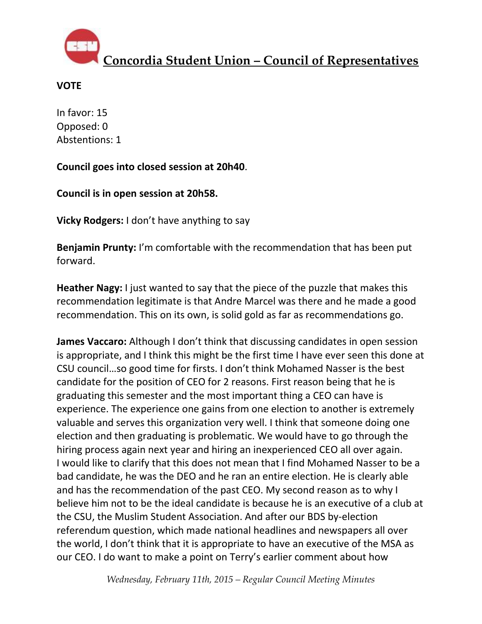

#### **VOTE**

In favor: 15 Opposed: 0 Abstentions: 1

**Council goes into closed session at 20h40**.

**Council is in open session at 20h58.** 

**Vicky Rodgers:** I don't have anything to say

**Benjamin Prunty:** I'm comfortable with the recommendation that has been put forward.

**Heather Nagy:** I just wanted to say that the piece of the puzzle that makes this recommendation legitimate is that Andre Marcel was there and he made a good recommendation. This on its own, is solid gold as far as recommendations go.

**James Vaccaro:** Although I don't think that discussing candidates in open session is appropriate, and I think this might be the first time I have ever seen this done at CSU council…so good time for firsts. I don't think Mohamed Nasser is the best candidate for the position of CEO for 2 reasons. First reason being that he is graduating this semester and the most important thing a CEO can have is experience. The experience one gains from one election to another is extremely valuable and serves this organization very well. I think that someone doing one election and then graduating is problematic. We would have to go through the hiring process again next year and hiring an inexperienced CEO all over again. I would like to clarify that this does not mean that I find Mohamed Nasser to be a bad candidate, he was the DEO and he ran an entire election. He is clearly able and has the recommendation of the past CEO. My second reason as to why I believe him not to be the ideal candidate is because he is an executive of a club at the CSU, the Muslim Student Association. And after our BDS by-election referendum question, which made national headlines and newspapers all over the world, I don't think that it is appropriate to have an executive of the MSA as our CEO. I do want to make a point on Terry's earlier comment about how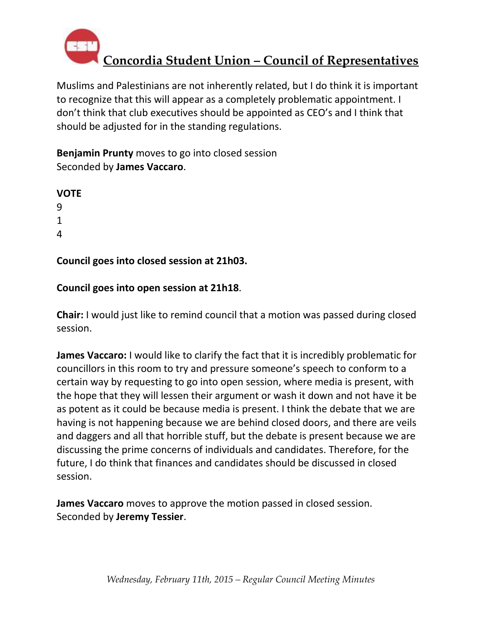

Muslims and Palestinians are not inherently related, but I do think it is important to recognize that this will appear as a completely problematic appointment. I don't think that club executives should be appointed as CEO's and I think that should be adjusted for in the standing regulations.

**Benjamin Prunty** moves to go into closed session Seconded by **James Vaccaro**.

**Council goes into closed session at 21h03.**

### **Council goes into open session at 21h18**.

**Chair:** I would just like to remind council that a motion was passed during closed session.

**James Vaccaro:** I would like to clarify the fact that it is incredibly problematic for councillors in this room to try and pressure someone's speech to conform to a certain way by requesting to go into open session, where media is present, with the hope that they will lessen their argument or wash it down and not have it be as potent as it could be because media is present. I think the debate that we are having is not happening because we are behind closed doors, and there are veils and daggers and all that horrible stuff, but the debate is present because we are discussing the prime concerns of individuals and candidates. Therefore, for the future, I do think that finances and candidates should be discussed in closed session.

**James Vaccaro** moves to approve the motion passed in closed session. Seconded by **Jeremy Tessier**.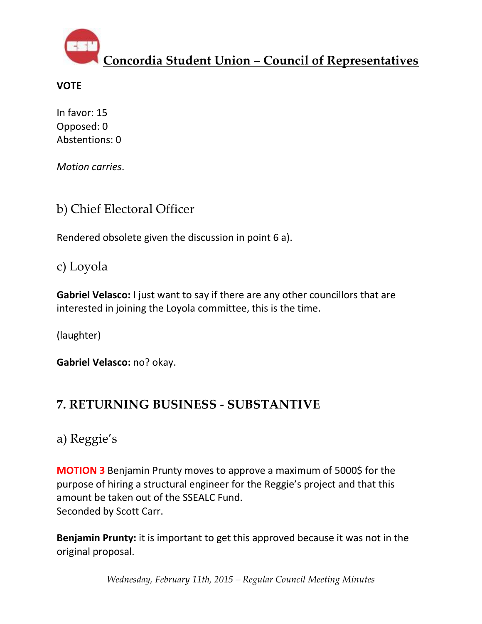

### **VOTE**

In favor: 15 Opposed: 0 Abstentions: 0

*Motion carries*.

## b) Chief Electoral Officer

Rendered obsolete given the discussion in point 6 a).

c) Loyola

**Gabriel Velasco:** I just want to say if there are any other councillors that are interested in joining the Loyola committee, this is the time.

(laughter)

**Gabriel Velasco:** no? okay.

## **7. RETURNING BUSINESS - SUBSTANTIVE**

a) Reggie's

**MOTION 3** Benjamin Prunty moves to approve a maximum of 5000\$ for the purpose of hiring a structural engineer for the Reggie's project and that this amount be taken out of the SSEALC Fund. Seconded by Scott Carr.

**Benjamin Prunty:** it is important to get this approved because it was not in the original proposal.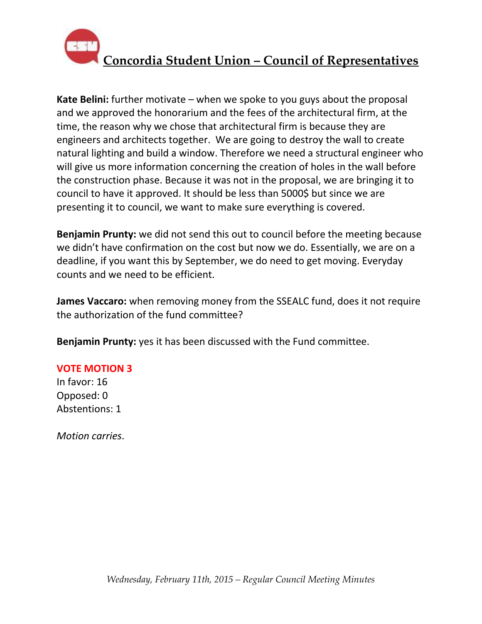

**Kate Belini:** further motivate – when we spoke to you guys about the proposal and we approved the honorarium and the fees of the architectural firm, at the time, the reason why we chose that architectural firm is because they are engineers and architects together. We are going to destroy the wall to create natural lighting and build a window. Therefore we need a structural engineer who will give us more information concerning the creation of holes in the wall before the construction phase. Because it was not in the proposal, we are bringing it to council to have it approved. It should be less than 5000\$ but since we are presenting it to council, we want to make sure everything is covered.

**Benjamin Prunty:** we did not send this out to council before the meeting because we didn't have confirmation on the cost but now we do. Essentially, we are on a deadline, if you want this by September, we do need to get moving. Everyday counts and we need to be efficient.

**James Vaccaro:** when removing money from the SSEALC fund, does it not require the authorization of the fund committee?

**Benjamin Prunty:** yes it has been discussed with the Fund committee.

### **VOTE MOTION 3**

In favor: 16 Opposed: 0 Abstentions: 1

*Motion carries*.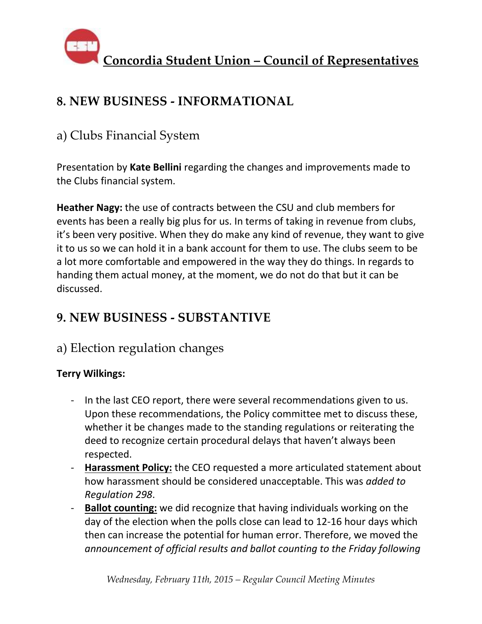

## **8. NEW BUSINESS - INFORMATIONAL**

### a) Clubs Financial System

Presentation by **Kate Bellini** regarding the changes and improvements made to the Clubs financial system.

**Heather Nagy:** the use of contracts between the CSU and club members for events has been a really big plus for us. In terms of taking in revenue from clubs, it's been very positive. When they do make any kind of revenue, they want to give it to us so we can hold it in a bank account for them to use. The clubs seem to be a lot more comfortable and empowered in the way they do things. In regards to handing them actual money, at the moment, we do not do that but it can be discussed.

## **9. NEW BUSINESS - SUBSTANTIVE**

### a) Election regulation changes

### **Terry Wilkings:**

- In the last CEO report, there were several recommendations given to us. Upon these recommendations, the Policy committee met to discuss these, whether it be changes made to the standing regulations or reiterating the deed to recognize certain procedural delays that haven't always been respected.
- **Harassment Policy:** the CEO requested a more articulated statement about how harassment should be considered unacceptable. This was *added to Regulation 298*.
- **Ballot counting:** we did recognize that having individuals working on the day of the election when the polls close can lead to 12-16 hour days which then can increase the potential for human error. Therefore, we moved the *announcement of official results and ballot counting to the Friday following*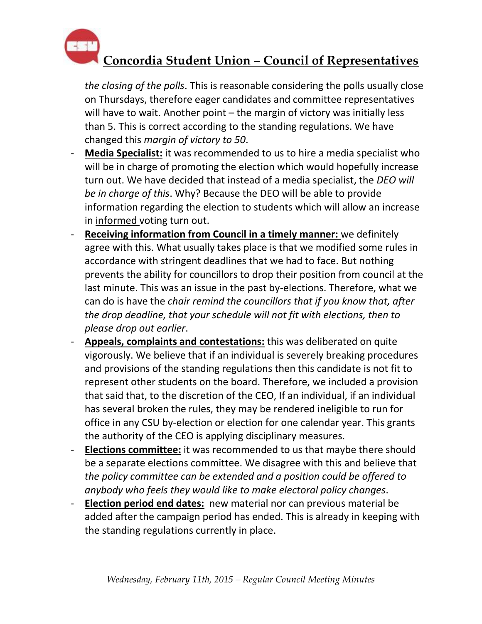

*the closing of the polls*. This is reasonable considering the polls usually close on Thursdays, therefore eager candidates and committee representatives will have to wait. Another point – the margin of victory was initially less than 5. This is correct according to the standing regulations. We have changed this *margin of victory to 50*.

- **Media Specialist:** it was recommended to us to hire a media specialist who will be in charge of promoting the election which would hopefully increase turn out. We have decided that instead of a media specialist, the *DEO will be in charge of this*. Why? Because the DEO will be able to provide information regarding the election to students which will allow an increase in informed voting turn out.
- **Receiving information from Council in a timely manner:** we definitely agree with this. What usually takes place is that we modified some rules in accordance with stringent deadlines that we had to face. But nothing prevents the ability for councillors to drop their position from council at the last minute. This was an issue in the past by-elections. Therefore, what we can do is have the *chair remind the councillors that if you know that, after the drop deadline, that your schedule will not fit with elections, then to please drop out earlier*.
- Appeals, complaints and contestations: this was deliberated on quite vigorously. We believe that if an individual is severely breaking procedures and provisions of the standing regulations then this candidate is not fit to represent other students on the board. Therefore, we included a provision that said that, to the discretion of the CEO, If an individual, if an individual has several broken the rules, they may be rendered ineligible to run for office in any CSU by-election or election for one calendar year. This grants the authority of the CEO is applying disciplinary measures.
- **Elections committee:** it was recommended to us that maybe there should be a separate elections committee. We disagree with this and believe that *the policy committee can be extended and a position could be offered to anybody who feels they would like to make electoral policy changes*.
- **Election period end dates:** new material nor can previous material be added after the campaign period has ended. This is already in keeping with the standing regulations currently in place.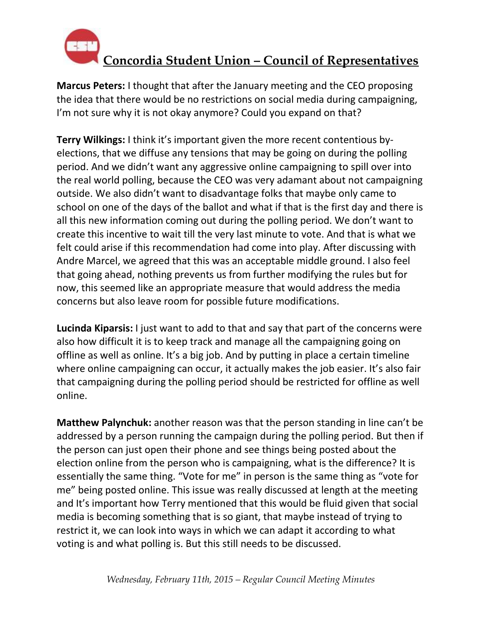

**Marcus Peters:** I thought that after the January meeting and the CEO proposing the idea that there would be no restrictions on social media during campaigning, I'm not sure why it is not okay anymore? Could you expand on that?

**Terry Wilkings:** I think it's important given the more recent contentious byelections, that we diffuse any tensions that may be going on during the polling period. And we didn't want any aggressive online campaigning to spill over into the real world polling, because the CEO was very adamant about not campaigning outside. We also didn't want to disadvantage folks that maybe only came to school on one of the days of the ballot and what if that is the first day and there is all this new information coming out during the polling period. We don't want to create this incentive to wait till the very last minute to vote. And that is what we felt could arise if this recommendation had come into play. After discussing with Andre Marcel, we agreed that this was an acceptable middle ground. I also feel that going ahead, nothing prevents us from further modifying the rules but for now, this seemed like an appropriate measure that would address the media concerns but also leave room for possible future modifications.

**Lucinda Kiparsis:** I just want to add to that and say that part of the concerns were also how difficult it is to keep track and manage all the campaigning going on offline as well as online. It's a big job. And by putting in place a certain timeline where online campaigning can occur, it actually makes the job easier. It's also fair that campaigning during the polling period should be restricted for offline as well online.

**Matthew Palynchuk:** another reason was that the person standing in line can't be addressed by a person running the campaign during the polling period. But then if the person can just open their phone and see things being posted about the election online from the person who is campaigning, what is the difference? It is essentially the same thing. "Vote for me" in person is the same thing as "vote for me" being posted online. This issue was really discussed at length at the meeting and It's important how Terry mentioned that this would be fluid given that social media is becoming something that is so giant, that maybe instead of trying to restrict it, we can look into ways in which we can adapt it according to what voting is and what polling is. But this still needs to be discussed.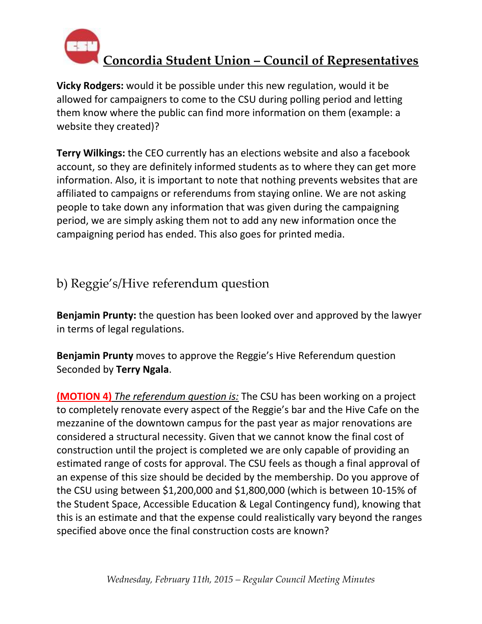

**Vicky Rodgers:** would it be possible under this new regulation, would it be allowed for campaigners to come to the CSU during polling period and letting them know where the public can find more information on them (example: a website they created)?

**Terry Wilkings:** the CEO currently has an elections website and also a facebook account, so they are definitely informed students as to where they can get more information. Also, it is important to note that nothing prevents websites that are affiliated to campaigns or referendums from staying online. We are not asking people to take down any information that was given during the campaigning period, we are simply asking them not to add any new information once the campaigning period has ended. This also goes for printed media.

### b) Reggie's/Hive referendum question

**Benjamin Prunty:** the question has been looked over and approved by the lawyer in terms of legal regulations.

**Benjamin Prunty** moves to approve the Reggie's Hive Referendum question Seconded by **Terry Ngala**.

**(MOTION 4)** *The referendum question is:* The CSU has been working on a project to completely renovate every aspect of the Reggie's bar and the Hive Cafe on the mezzanine of the downtown campus for the past year as major renovations are considered a structural necessity. Given that we cannot know the final cost of construction until the project is completed we are only capable of providing an estimated range of costs for approval. The CSU feels as though a final approval of an expense of this size should be decided by the membership. Do you approve of the CSU using between \$1,200,000 and \$1,800,000 (which is between 10-15% of the Student Space, Accessible Education & Legal Contingency fund), knowing that this is an estimate and that the expense could realistically vary beyond the ranges specified above once the final construction costs are known?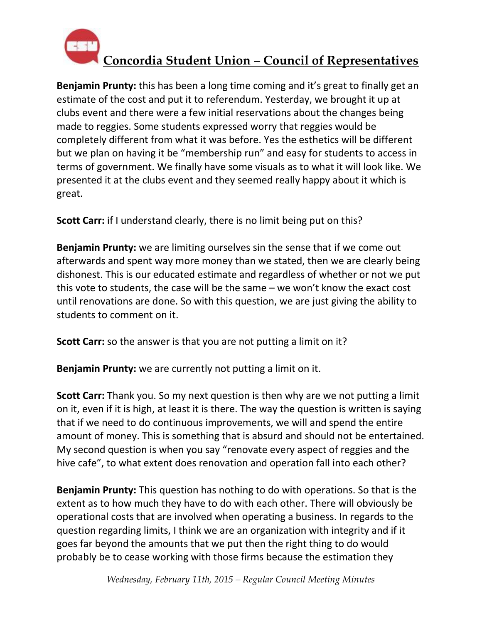

**Benjamin Prunty:** this has been a long time coming and it's great to finally get an estimate of the cost and put it to referendum. Yesterday, we brought it up at clubs event and there were a few initial reservations about the changes being made to reggies. Some students expressed worry that reggies would be completely different from what it was before. Yes the esthetics will be different but we plan on having it be "membership run" and easy for students to access in terms of government. We finally have some visuals as to what it will look like. We presented it at the clubs event and they seemed really happy about it which is great.

**Scott Carr:** if I understand clearly, there is no limit being put on this?

**Benjamin Prunty:** we are limiting ourselves sin the sense that if we come out afterwards and spent way more money than we stated, then we are clearly being dishonest. This is our educated estimate and regardless of whether or not we put this vote to students, the case will be the same – we won't know the exact cost until renovations are done. So with this question, we are just giving the ability to students to comment on it.

**Scott Carr:** so the answer is that you are not putting a limit on it?

**Benjamin Prunty:** we are currently not putting a limit on it.

**Scott Carr:** Thank you. So my next question is then why are we not putting a limit on it, even if it is high, at least it is there. The way the question is written is saying that if we need to do continuous improvements, we will and spend the entire amount of money. This is something that is absurd and should not be entertained. My second question is when you say "renovate every aspect of reggies and the hive cafe", to what extent does renovation and operation fall into each other?

**Benjamin Prunty:** This question has nothing to do with operations. So that is the extent as to how much they have to do with each other. There will obviously be operational costs that are involved when operating a business. In regards to the question regarding limits, I think we are an organization with integrity and if it goes far beyond the amounts that we put then the right thing to do would probably be to cease working with those firms because the estimation they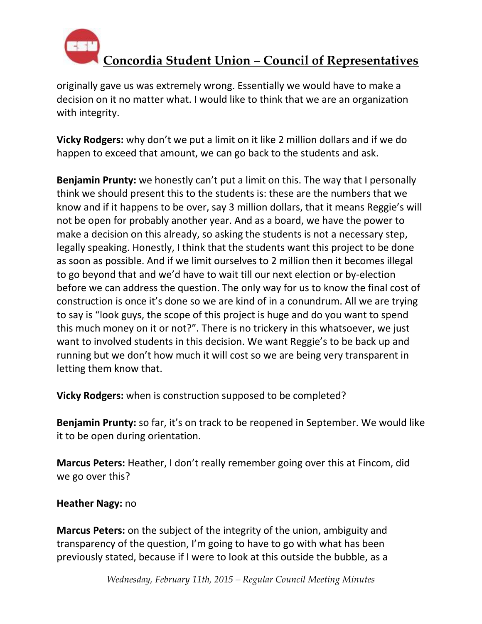

originally gave us was extremely wrong. Essentially we would have to make a decision on it no matter what. I would like to think that we are an organization with integrity.

**Vicky Rodgers:** why don't we put a limit on it like 2 million dollars and if we do happen to exceed that amount, we can go back to the students and ask.

**Benjamin Prunty:** we honestly can't put a limit on this. The way that I personally think we should present this to the students is: these are the numbers that we know and if it happens to be over, say 3 million dollars, that it means Reggie's will not be open for probably another year. And as a board, we have the power to make a decision on this already, so asking the students is not a necessary step, legally speaking. Honestly, I think that the students want this project to be done as soon as possible. And if we limit ourselves to 2 million then it becomes illegal to go beyond that and we'd have to wait till our next election or by-election before we can address the question. The only way for us to know the final cost of construction is once it's done so we are kind of in a conundrum. All we are trying to say is "look guys, the scope of this project is huge and do you want to spend this much money on it or not?". There is no trickery in this whatsoever, we just want to involved students in this decision. We want Reggie's to be back up and running but we don't how much it will cost so we are being very transparent in letting them know that.

**Vicky Rodgers:** when is construction supposed to be completed?

**Benjamin Prunty:** so far, it's on track to be reopened in September. We would like it to be open during orientation.

**Marcus Peters:** Heather, I don't really remember going over this at Fincom, did we go over this?

### **Heather Nagy:** no

**Marcus Peters:** on the subject of the integrity of the union, ambiguity and transparency of the question, I'm going to have to go with what has been previously stated, because if I were to look at this outside the bubble, as a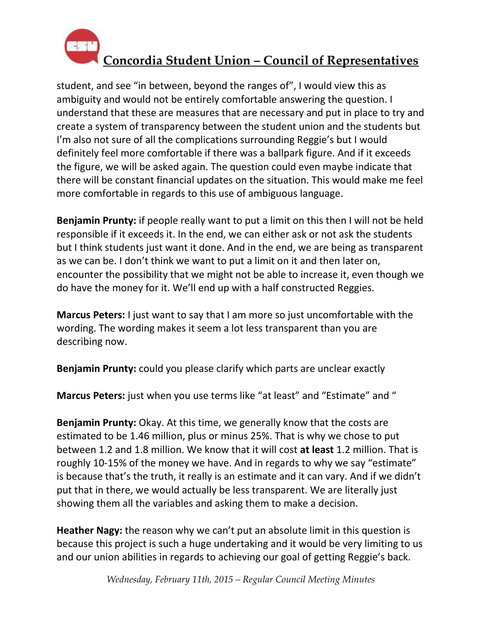

student, and see "in between, beyond the ranges of", I would view this as ambiguity and would not be entirely comfortable answering the question. I understand that these are measures that are necessary and put in place to try and create a system of transparency between the student union and the students but I'm also not sure of all the complications surrounding Reggie's but I would definitely feel more comfortable if there was a ballpark figure. And if it exceeds the figure, we will be asked again. The question could even maybe indicate that there will be constant financial updates on the situation. This would make me feel more comfortable in regards to this use of ambiguous language.

**Benjamin Prunty:** if people really want to put a limit on this then I will not be held responsible if it exceeds it. In the end, we can either ask or not ask the students but I think students just want it done. And in the end, we are being as transparent as we can be. I don't think we want to put a limit on it and then later on, encounter the possibility that we might not be able to increase it, even though we do have the money for it. We'll end up with a half constructed Reggies.

**Marcus Peters:** I just want to say that I am more so just uncomfortable with the wording. The wording makes it seem a lot less transparent than you are describing now.

**Benjamin Prunty:** could you please clarify which parts are unclear exactly

**Marcus Peters:** just when you use terms like "at least" and "Estimate" and "

**Benjamin Prunty:** Okay. At this time, we generally know that the costs are estimated to be 1.46 million, plus or minus 25%. That is why we chose to put between 1.2 and 1.8 million. We know that it will cost **at least** 1.2 million. That is roughly 10-15% of the money we have. And in regards to why we say "estimate" is because that's the truth, it really is an estimate and it can vary. And if we didn't put that in there, we would actually be less transparent. We are literally just showing them all the variables and asking them to make a decision.

**Heather Nagy:** the reason why we can't put an absolute limit in this question is because this project is such a huge undertaking and it would be very limiting to us and our union abilities in regards to achieving our goal of getting Reggie's back.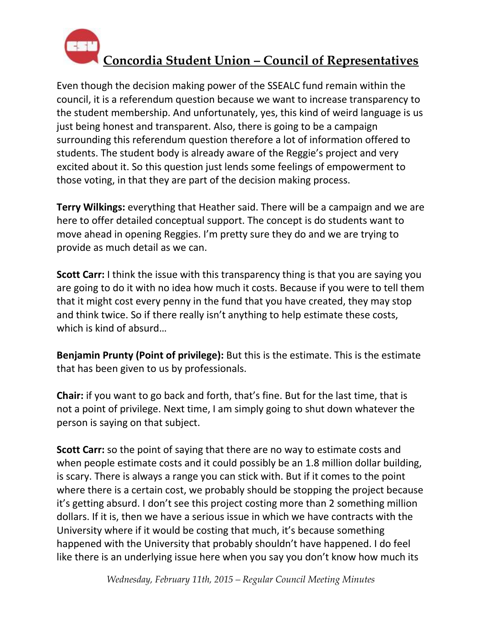

Even though the decision making power of the SSEALC fund remain within the council, it is a referendum question because we want to increase transparency to the student membership. And unfortunately, yes, this kind of weird language is us just being honest and transparent. Also, there is going to be a campaign surrounding this referendum question therefore a lot of information offered to students. The student body is already aware of the Reggie's project and very excited about it. So this question just lends some feelings of empowerment to those voting, in that they are part of the decision making process.

**Terry Wilkings:** everything that Heather said. There will be a campaign and we are here to offer detailed conceptual support. The concept is do students want to move ahead in opening Reggies. I'm pretty sure they do and we are trying to provide as much detail as we can.

**Scott Carr:** I think the issue with this transparency thing is that you are saying you are going to do it with no idea how much it costs. Because if you were to tell them that it might cost every penny in the fund that you have created, they may stop and think twice. So if there really isn't anything to help estimate these costs, which is kind of absurd…

**Benjamin Prunty (Point of privilege):** But this is the estimate. This is the estimate that has been given to us by professionals.

**Chair:** if you want to go back and forth, that's fine. But for the last time, that is not a point of privilege. Next time, I am simply going to shut down whatever the person is saying on that subject.

**Scott Carr:** so the point of saying that there are no way to estimate costs and when people estimate costs and it could possibly be an 1.8 million dollar building, is scary. There is always a range you can stick with. But if it comes to the point where there is a certain cost, we probably should be stopping the project because it's getting absurd. I don't see this project costing more than 2 something million dollars. If it is, then we have a serious issue in which we have contracts with the University where if it would be costing that much, it's because something happened with the University that probably shouldn't have happened. I do feel like there is an underlying issue here when you say you don't know how much its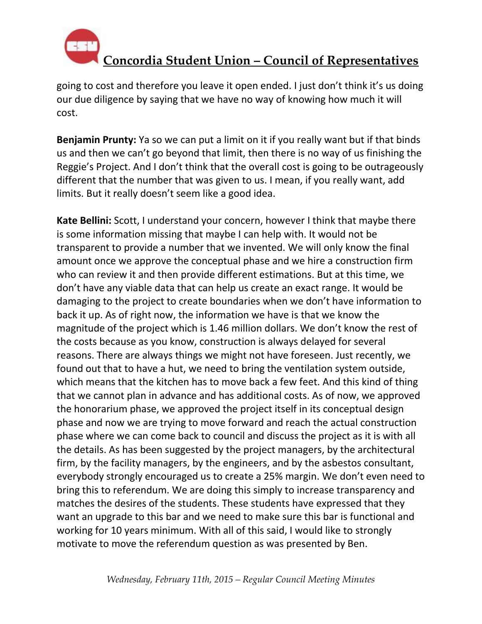

going to cost and therefore you leave it open ended. I just don't think it's us doing our due diligence by saying that we have no way of knowing how much it will cost.

**Benjamin Prunty:** Ya so we can put a limit on it if you really want but if that binds us and then we can't go beyond that limit, then there is no way of us finishing the Reggie's Project. And I don't think that the overall cost is going to be outrageously different that the number that was given to us. I mean, if you really want, add limits. But it really doesn't seem like a good idea.

**Kate Bellini:** Scott, I understand your concern, however I think that maybe there is some information missing that maybe I can help with. It would not be transparent to provide a number that we invented. We will only know the final amount once we approve the conceptual phase and we hire a construction firm who can review it and then provide different estimations. But at this time, we don't have any viable data that can help us create an exact range. It would be damaging to the project to create boundaries when we don't have information to back it up. As of right now, the information we have is that we know the magnitude of the project which is 1.46 million dollars. We don't know the rest of the costs because as you know, construction is always delayed for several reasons. There are always things we might not have foreseen. Just recently, we found out that to have a hut, we need to bring the ventilation system outside, which means that the kitchen has to move back a few feet. And this kind of thing that we cannot plan in advance and has additional costs. As of now, we approved the honorarium phase, we approved the project itself in its conceptual design phase and now we are trying to move forward and reach the actual construction phase where we can come back to council and discuss the project as it is with all the details. As has been suggested by the project managers, by the architectural firm, by the facility managers, by the engineers, and by the asbestos consultant, everybody strongly encouraged us to create a 25% margin. We don't even need to bring this to referendum. We are doing this simply to increase transparency and matches the desires of the students. These students have expressed that they want an upgrade to this bar and we need to make sure this bar is functional and working for 10 years minimum. With all of this said, I would like to strongly motivate to move the referendum question as was presented by Ben.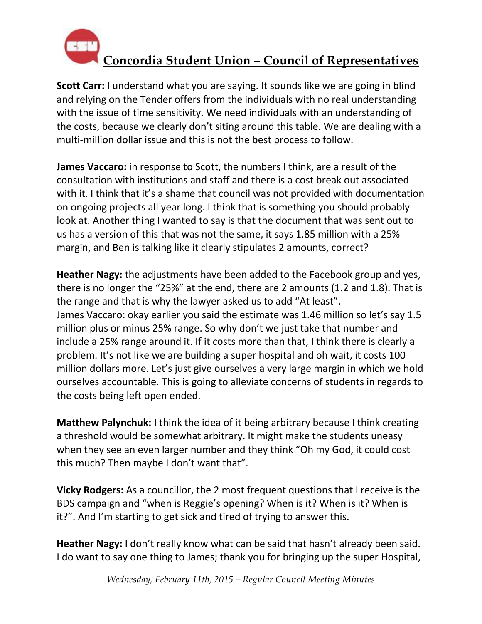

**Scott Carr:** I understand what you are saying. It sounds like we are going in blind and relying on the Tender offers from the individuals with no real understanding with the issue of time sensitivity. We need individuals with an understanding of the costs, because we clearly don't siting around this table. We are dealing with a multi-million dollar issue and this is not the best process to follow.

**James Vaccaro:** in response to Scott, the numbers I think, are a result of the consultation with institutions and staff and there is a cost break out associated with it. I think that it's a shame that council was not provided with documentation on ongoing projects all year long. I think that is something you should probably look at. Another thing I wanted to say is that the document that was sent out to us has a version of this that was not the same, it says 1.85 million with a 25% margin, and Ben is talking like it clearly stipulates 2 amounts, correct?

**Heather Nagy:** the adjustments have been added to the Facebook group and yes, there is no longer the "25%" at the end, there are 2 amounts (1.2 and 1.8). That is the range and that is why the lawyer asked us to add "At least". James Vaccaro: okay earlier you said the estimate was 1.46 million so let's say 1.5 million plus or minus 25% range. So why don't we just take that number and include a 25% range around it. If it costs more than that, I think there is clearly a problem. It's not like we are building a super hospital and oh wait, it costs 100 million dollars more. Let's just give ourselves a very large margin in which we hold ourselves accountable. This is going to alleviate concerns of students in regards to the costs being left open ended.

**Matthew Palynchuk:** I think the idea of it being arbitrary because I think creating a threshold would be somewhat arbitrary. It might make the students uneasy when they see an even larger number and they think "Oh my God, it could cost this much? Then maybe I don't want that".

**Vicky Rodgers:** As a councillor, the 2 most frequent questions that I receive is the BDS campaign and "when is Reggie's opening? When is it? When is it? When is it?". And I'm starting to get sick and tired of trying to answer this.

**Heather Nagy:** I don't really know what can be said that hasn't already been said. I do want to say one thing to James; thank you for bringing up the super Hospital,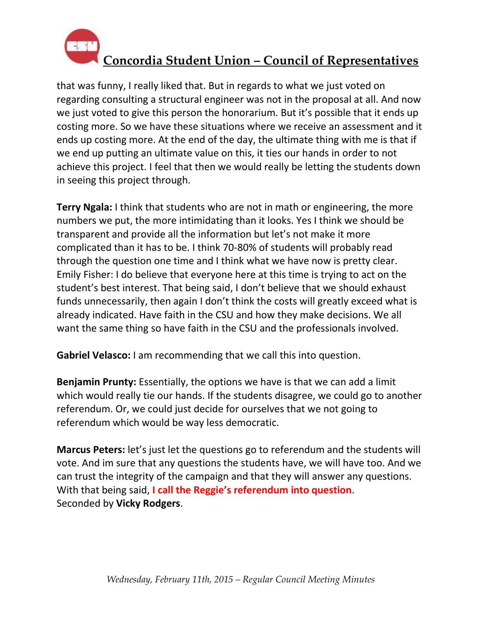

that was funny, I really liked that. But in regards to what we just voted on regarding consulting a structural engineer was not in the proposal at all. And now we just voted to give this person the honorarium. But it's possible that it ends up costing more. So we have these situations where we receive an assessment and it ends up costing more. At the end of the day, the ultimate thing with me is that if we end up putting an ultimate value on this, it ties our hands in order to not achieve this project. I feel that then we would really be letting the students down in seeing this project through.

**Terry Ngala:** I think that students who are not in math or engineering, the more numbers we put, the more intimidating than it looks. Yes I think we should be transparent and provide all the information but let's not make it more complicated than it has to be. I think 70-80% of students will probably read through the question one time and I think what we have now is pretty clear. Emily Fisher: I do believe that everyone here at this time is trying to act on the student's best interest. That being said, I don't believe that we should exhaust funds unnecessarily, then again I don't think the costs will greatly exceed what is already indicated. Have faith in the CSU and how they make decisions. We all want the same thing so have faith in the CSU and the professionals involved.

**Gabriel Velasco:** I am recommending that we call this into question.

**Benjamin Prunty:** Essentially, the options we have is that we can add a limit which would really tie our hands. If the students disagree, we could go to another referendum. Or, we could just decide for ourselves that we not going to referendum which would be way less democratic.

**Marcus Peters:** let's just let the questions go to referendum and the students will vote. And im sure that any questions the students have, we will have too. And we can trust the integrity of the campaign and that they will answer any questions. With that being said, **I call the Reggie's referendum into question**. Seconded by **Vicky Rodgers**.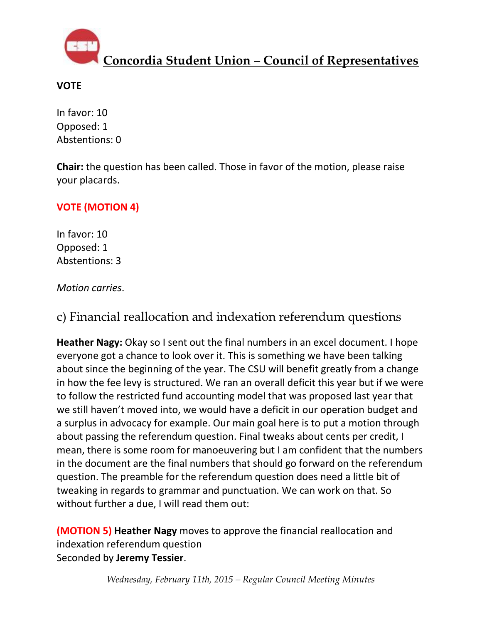

### **VOTE**

In favor: 10 Opposed: 1 Abstentions: 0

**Chair:** the question has been called. Those in favor of the motion, please raise your placards.

### **VOTE (MOTION 4)**

In favor: 10 Opposed: 1 Abstentions: 3

### *Motion carries*.

c) Financial reallocation and indexation referendum questions

**Heather Nagy:** Okay so I sent out the final numbers in an excel document. I hope everyone got a chance to look over it. This is something we have been talking about since the beginning of the year. The CSU will benefit greatly from a change in how the fee levy is structured. We ran an overall deficit this year but if we were to follow the restricted fund accounting model that was proposed last year that we still haven't moved into, we would have a deficit in our operation budget and a surplus in advocacy for example. Our main goal here is to put a motion through about passing the referendum question. Final tweaks about cents per credit, I mean, there is some room for manoeuvering but I am confident that the numbers in the document are the final numbers that should go forward on the referendum question. The preamble for the referendum question does need a little bit of tweaking in regards to grammar and punctuation. We can work on that. So without further a due, I will read them out:

**(MOTION 5) Heather Nagy** moves to approve the financial reallocation and indexation referendum question Seconded by **Jeremy Tessier**.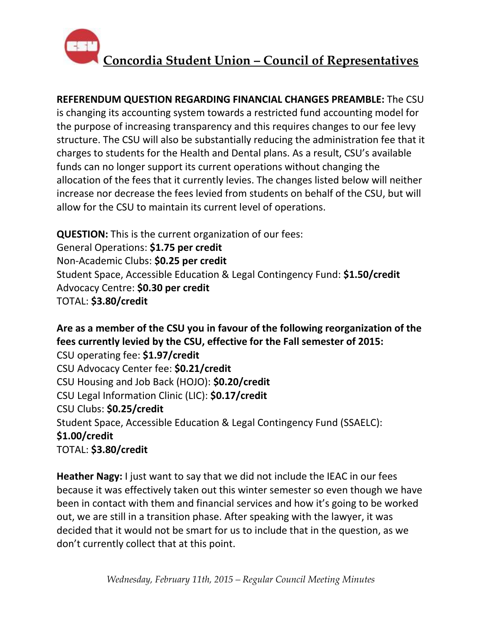

**REFERENDUM QUESTION REGARDING FINANCIAL CHANGES PREAMBLE:** The CSU is changing its accounting system towards a restricted fund accounting model for the purpose of increasing transparency and this requires changes to our fee levy structure. The CSU will also be substantially reducing the administration fee that it charges to students for the Health and Dental plans. As a result, CSU's available funds can no longer support its current operations without changing the allocation of the fees that it currently levies. The changes listed below will neither increase nor decrease the fees levied from students on behalf of the CSU, but will allow for the CSU to maintain its current level of operations.

**QUESTION:** This is the current organization of our fees: General Operations: **\$1.75 per credit** Non-Academic Clubs: **\$0.25 per credit** Student Space, Accessible Education & Legal Contingency Fund: **\$1.50/credit** Advocacy Centre: **\$0.30 per credit** TOTAL: **\$3.80/credit**

**Are as a member of the CSU you in favour of the following reorganization of the fees currently levied by the CSU, effective for the Fall semester of 2015:** CSU operating fee: **\$1.97/credit** CSU Advocacy Center fee: **\$0.21/credit** CSU Housing and Job Back (HOJO): **\$0.20/credit** CSU Legal Information Clinic (LIC): **\$0.17/credit** CSU Clubs: **\$0.25/credit** Student Space, Accessible Education & Legal Contingency Fund (SSAELC): **\$1.00/credit** TOTAL: **\$3.80/credit**

**Heather Nagy:** I just want to say that we did not include the IEAC in our fees because it was effectively taken out this winter semester so even though we have been in contact with them and financial services and how it's going to be worked out, we are still in a transition phase. After speaking with the lawyer, it was decided that it would not be smart for us to include that in the question, as we don't currently collect that at this point.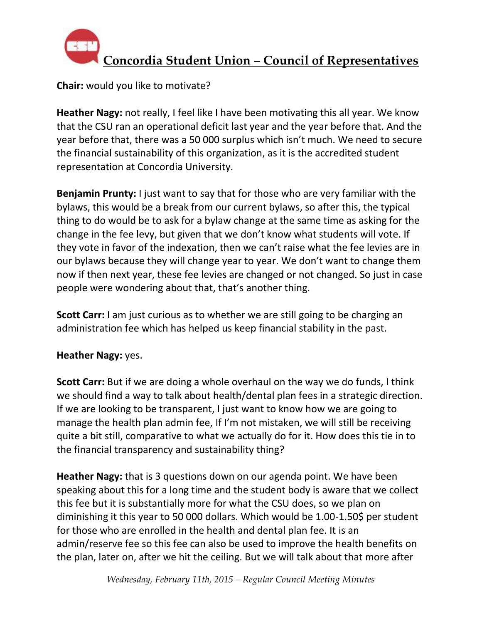

**Chair:** would you like to motivate?

**Heather Nagy:** not really, I feel like I have been motivating this all year. We know that the CSU ran an operational deficit last year and the year before that. And the year before that, there was a 50 000 surplus which isn't much. We need to secure the financial sustainability of this organization, as it is the accredited student representation at Concordia University.

**Benjamin Prunty:** I just want to say that for those who are very familiar with the bylaws, this would be a break from our current bylaws, so after this, the typical thing to do would be to ask for a bylaw change at the same time as asking for the change in the fee levy, but given that we don't know what students will vote. If they vote in favor of the indexation, then we can't raise what the fee levies are in our bylaws because they will change year to year. We don't want to change them now if then next year, these fee levies are changed or not changed. So just in case people were wondering about that, that's another thing.

**Scott Carr:** I am just curious as to whether we are still going to be charging an administration fee which has helped us keep financial stability in the past.

### **Heather Nagy:** yes.

**Scott Carr:** But if we are doing a whole overhaul on the way we do funds, I think we should find a way to talk about health/dental plan fees in a strategic direction. If we are looking to be transparent, I just want to know how we are going to manage the health plan admin fee, If I'm not mistaken, we will still be receiving quite a bit still, comparative to what we actually do for it. How does this tie in to the financial transparency and sustainability thing?

**Heather Nagy:** that is 3 questions down on our agenda point. We have been speaking about this for a long time and the student body is aware that we collect this fee but it is substantially more for what the CSU does, so we plan on diminishing it this year to 50 000 dollars. Which would be 1.00-1.50\$ per student for those who are enrolled in the health and dental plan fee. It is an admin/reserve fee so this fee can also be used to improve the health benefits on the plan, later on, after we hit the ceiling. But we will talk about that more after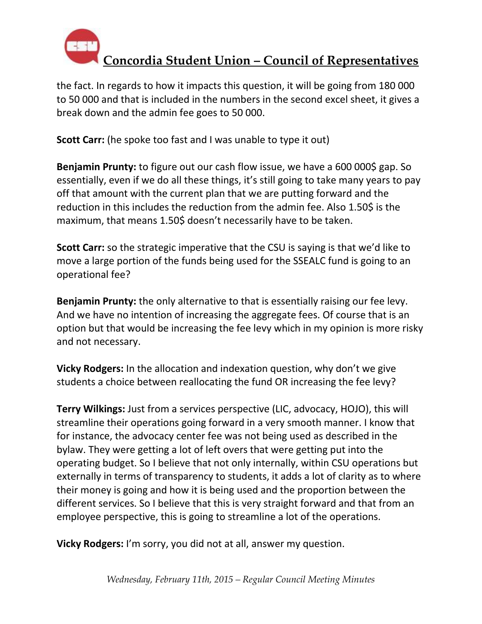

the fact. In regards to how it impacts this question, it will be going from 180 000 to 50 000 and that is included in the numbers in the second excel sheet, it gives a break down and the admin fee goes to 50 000.

**Scott Carr:** (he spoke too fast and I was unable to type it out)

**Benjamin Prunty:** to figure out our cash flow issue, we have a 600 000\$ gap. So essentially, even if we do all these things, it's still going to take many years to pay off that amount with the current plan that we are putting forward and the reduction in this includes the reduction from the admin fee. Also 1.50\$ is the maximum, that means 1.50\$ doesn't necessarily have to be taken.

**Scott Carr:** so the strategic imperative that the CSU is saying is that we'd like to move a large portion of the funds being used for the SSEALC fund is going to an operational fee?

**Benjamin Prunty:** the only alternative to that is essentially raising our fee levy. And we have no intention of increasing the aggregate fees. Of course that is an option but that would be increasing the fee levy which in my opinion is more risky and not necessary.

**Vicky Rodgers:** In the allocation and indexation question, why don't we give students a choice between reallocating the fund OR increasing the fee levy?

**Terry Wilkings:** Just from a services perspective (LIC, advocacy, HOJO), this will streamline their operations going forward in a very smooth manner. I know that for instance, the advocacy center fee was not being used as described in the bylaw. They were getting a lot of left overs that were getting put into the operating budget. So I believe that not only internally, within CSU operations but externally in terms of transparency to students, it adds a lot of clarity as to where their money is going and how it is being used and the proportion between the different services. So I believe that this is very straight forward and that from an employee perspective, this is going to streamline a lot of the operations.

**Vicky Rodgers:** I'm sorry, you did not at all, answer my question.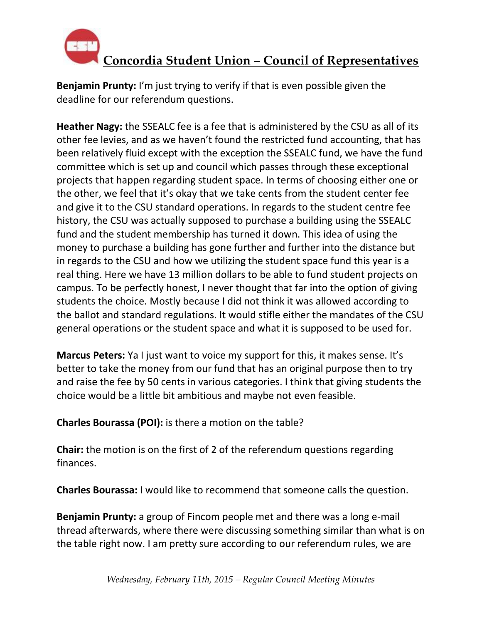

**Benjamin Prunty:** I'm just trying to verify if that is even possible given the deadline for our referendum questions.

**Heather Nagy:** the SSEALC fee is a fee that is administered by the CSU as all of its other fee levies, and as we haven't found the restricted fund accounting, that has been relatively fluid except with the exception the SSEALC fund, we have the fund committee which is set up and council which passes through these exceptional projects that happen regarding student space. In terms of choosing either one or the other, we feel that it's okay that we take cents from the student center fee and give it to the CSU standard operations. In regards to the student centre fee history, the CSU was actually supposed to purchase a building using the SSEALC fund and the student membership has turned it down. This idea of using the money to purchase a building has gone further and further into the distance but in regards to the CSU and how we utilizing the student space fund this year is a real thing. Here we have 13 million dollars to be able to fund student projects on campus. To be perfectly honest, I never thought that far into the option of giving students the choice. Mostly because I did not think it was allowed according to the ballot and standard regulations. It would stifle either the mandates of the CSU general operations or the student space and what it is supposed to be used for.

**Marcus Peters:** Ya I just want to voice my support for this, it makes sense. It's better to take the money from our fund that has an original purpose then to try and raise the fee by 50 cents in various categories. I think that giving students the choice would be a little bit ambitious and maybe not even feasible.

**Charles Bourassa (POI):** is there a motion on the table?

**Chair:** the motion is on the first of 2 of the referendum questions regarding finances.

**Charles Bourassa:** I would like to recommend that someone calls the question.

**Benjamin Prunty:** a group of Fincom people met and there was a long e-mail thread afterwards, where there were discussing something similar than what is on the table right now. I am pretty sure according to our referendum rules, we are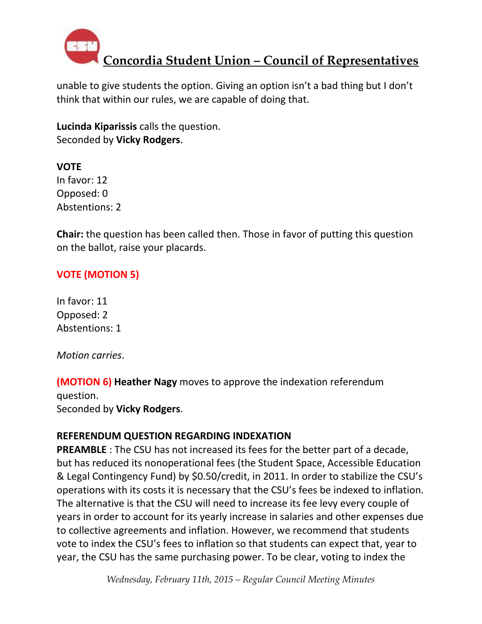

unable to give students the option. Giving an option isn't a bad thing but I don't think that within our rules, we are capable of doing that.

**Lucinda Kiparissis** calls the question. Seconded by **Vicky Rodgers**.

**VOTE** In favor: 12 Opposed: 0 Abstentions: 2

**Chair:** the question has been called then. Those in favor of putting this question on the ballot, raise your placards.

### **VOTE (MOTION 5)**

In favor: 11 Opposed: 2 Abstentions: 1

*Motion carries*.

**(MOTION 6) Heather Nagy** moves to approve the indexation referendum question.

Seconded by **Vicky Rodgers**.

#### **REFERENDUM QUESTION REGARDING INDEXATION**

**PREAMBLE** : The CSU has not increased its fees for the better part of a decade, but has reduced its nonoperational fees (the Student Space, Accessible Education & Legal Contingency Fund) by \$0.50/credit, in 2011. In order to stabilize the CSU's operations with its costs it is necessary that the CSU's fees be indexed to inflation. The alternative is that the CSU will need to increase its fee levy every couple of years in order to account for its yearly increase in salaries and other expenses due to collective agreements and inflation. However, we recommend that students vote to index the CSU's fees to inflation so that students can expect that, year to year, the CSU has the same purchasing power. To be clear, voting to index the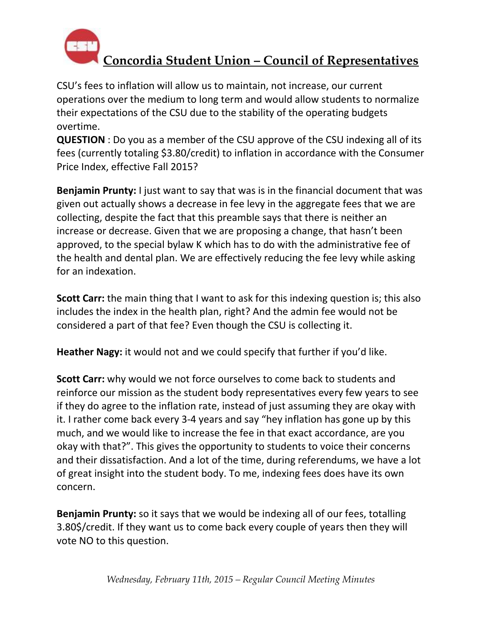

CSU's fees to inflation will allow us to maintain, not increase, our current operations over the medium to long term and would allow students to normalize their expectations of the CSU due to the stability of the operating budgets overtime.

**QUESTION** : Do you as a member of the CSU approve of the CSU indexing all of its fees (currently totaling \$3.80/credit) to inflation in accordance with the Consumer Price Index, effective Fall 2015?

**Benjamin Prunty:** I just want to say that was is in the financial document that was given out actually shows a decrease in fee levy in the aggregate fees that we are collecting, despite the fact that this preamble says that there is neither an increase or decrease. Given that we are proposing a change, that hasn't been approved, to the special bylaw K which has to do with the administrative fee of the health and dental plan. We are effectively reducing the fee levy while asking for an indexation.

**Scott Carr:** the main thing that I want to ask for this indexing question is; this also includes the index in the health plan, right? And the admin fee would not be considered a part of that fee? Even though the CSU is collecting it.

**Heather Nagy:** it would not and we could specify that further if you'd like.

**Scott Carr:** why would we not force ourselves to come back to students and reinforce our mission as the student body representatives every few years to see if they do agree to the inflation rate, instead of just assuming they are okay with it. I rather come back every 3-4 years and say "hey inflation has gone up by this much, and we would like to increase the fee in that exact accordance, are you okay with that?". This gives the opportunity to students to voice their concerns and their dissatisfaction. And a lot of the time, during referendums, we have a lot of great insight into the student body. To me, indexing fees does have its own concern.

**Benjamin Prunty:** so it says that we would be indexing all of our fees, totalling 3.80\$/credit. If they want us to come back every couple of years then they will vote NO to this question.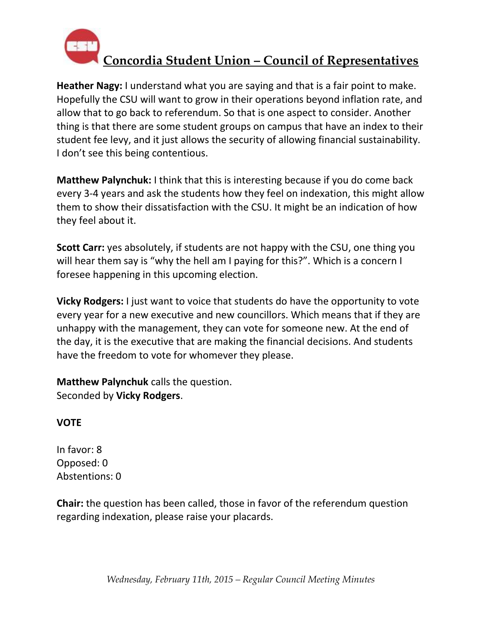

**Heather Nagy:** I understand what you are saying and that is a fair point to make. Hopefully the CSU will want to grow in their operations beyond inflation rate, and allow that to go back to referendum. So that is one aspect to consider. Another thing is that there are some student groups on campus that have an index to their student fee levy, and it just allows the security of allowing financial sustainability. I don't see this being contentious.

**Matthew Palynchuk:** I think that this is interesting because if you do come back every 3-4 years and ask the students how they feel on indexation, this might allow them to show their dissatisfaction with the CSU. It might be an indication of how they feel about it.

**Scott Carr:** yes absolutely, if students are not happy with the CSU, one thing you will hear them say is "why the hell am I paying for this?". Which is a concern I foresee happening in this upcoming election.

**Vicky Rodgers:** I just want to voice that students do have the opportunity to vote every year for a new executive and new councillors. Which means that if they are unhappy with the management, they can vote for someone new. At the end of the day, it is the executive that are making the financial decisions. And students have the freedom to vote for whomever they please.

**Matthew Palynchuk** calls the question. Seconded by **Vicky Rodgers**.

### **VOTE**

In favor: 8 Opposed: 0 Abstentions: 0

**Chair:** the question has been called, those in favor of the referendum question regarding indexation, please raise your placards.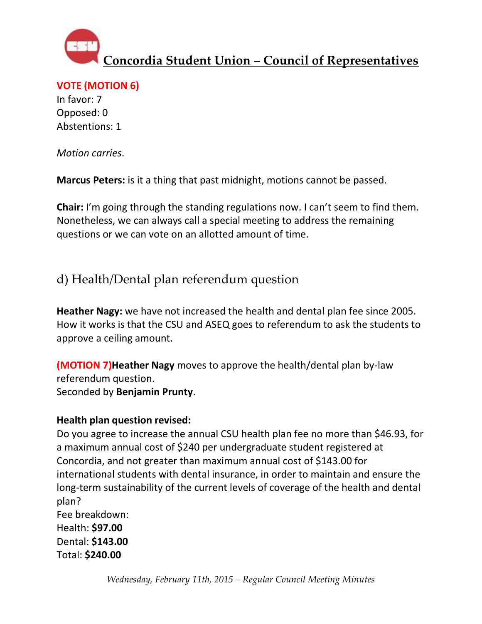

**VOTE (MOTION 6)**

In favor: 7 Opposed: 0 Abstentions: 1

*Motion carries*.

**Marcus Peters:** is it a thing that past midnight, motions cannot be passed.

**Chair:** I'm going through the standing regulations now. I can't seem to find them. Nonetheless, we can always call a special meeting to address the remaining questions or we can vote on an allotted amount of time.

d) Health/Dental plan referendum question

**Heather Nagy:** we have not increased the health and dental plan fee since 2005. How it works is that the CSU and ASEQ goes to referendum to ask the students to approve a ceiling amount.

**(MOTION 7)Heather Nagy** moves to approve the health/dental plan by-law referendum question. Seconded by **Benjamin Prunty**.

### **Health plan question revised:**

Do you agree to increase the annual CSU health plan fee no more than \$46.93, for a maximum annual cost of \$240 per undergraduate student registered at Concordia, and not greater than maximum annual cost of \$143.00 for international students with dental insurance, in order to maintain and ensure the long-term sustainability of the current levels of coverage of the health and dental plan?

Fee breakdown: Health: **\$97.00** Dental: **\$143.00** Total: **\$240.00**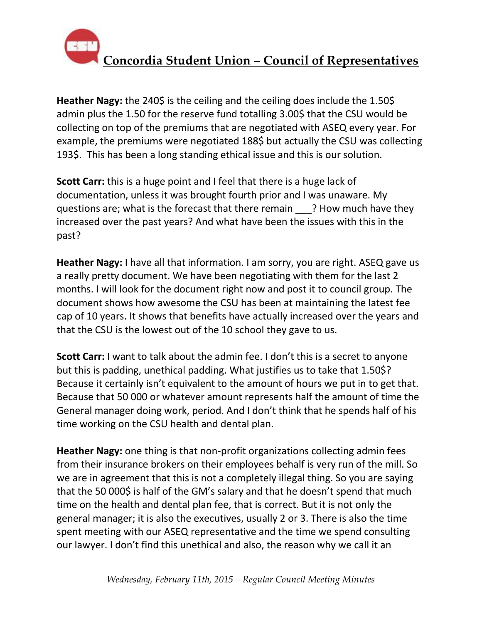

**Heather Nagy:** the 240\$ is the ceiling and the ceiling does include the 1.50\$ admin plus the 1.50 for the reserve fund totalling 3.00\$ that the CSU would be collecting on top of the premiums that are negotiated with ASEQ every year. For example, the premiums were negotiated 188\$ but actually the CSU was collecting 193\$. This has been a long standing ethical issue and this is our solution.

**Scott Carr:** this is a huge point and I feel that there is a huge lack of documentation, unless it was brought fourth prior and I was unaware. My questions are; what is the forecast that there remain \_\_\_? How much have they increased over the past years? And what have been the issues with this in the past?

**Heather Nagy:** I have all that information. I am sorry, you are right. ASEQ gave us a really pretty document. We have been negotiating with them for the last 2 months. I will look for the document right now and post it to council group. The document shows how awesome the CSU has been at maintaining the latest fee cap of 10 years. It shows that benefits have actually increased over the years and that the CSU is the lowest out of the 10 school they gave to us.

**Scott Carr:** I want to talk about the admin fee. I don't this is a secret to anyone but this is padding, unethical padding. What justifies us to take that 1.50\$? Because it certainly isn't equivalent to the amount of hours we put in to get that. Because that 50 000 or whatever amount represents half the amount of time the General manager doing work, period. And I don't think that he spends half of his time working on the CSU health and dental plan.

**Heather Nagy:** one thing is that non-profit organizations collecting admin fees from their insurance brokers on their employees behalf is very run of the mill. So we are in agreement that this is not a completely illegal thing. So you are saying that the 50 000\$ is half of the GM's salary and that he doesn't spend that much time on the health and dental plan fee, that is correct. But it is not only the general manager; it is also the executives, usually 2 or 3. There is also the time spent meeting with our ASEQ representative and the time we spend consulting our lawyer. I don't find this unethical and also, the reason why we call it an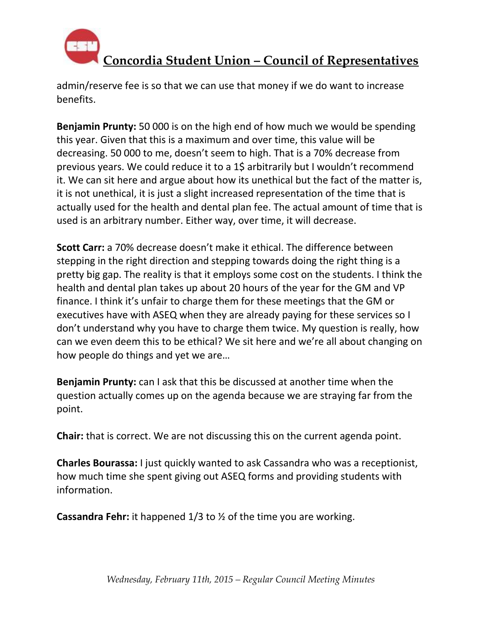

admin/reserve fee is so that we can use that money if we do want to increase benefits.

**Benjamin Prunty:** 50 000 is on the high end of how much we would be spending this year. Given that this is a maximum and over time, this value will be decreasing. 50 000 to me, doesn't seem to high. That is a 70% decrease from previous years. We could reduce it to a 1\$ arbitrarily but I wouldn't recommend it. We can sit here and argue about how its unethical but the fact of the matter is, it is not unethical, it is just a slight increased representation of the time that is actually used for the health and dental plan fee. The actual amount of time that is used is an arbitrary number. Either way, over time, it will decrease.

**Scott Carr:** a 70% decrease doesn't make it ethical. The difference between stepping in the right direction and stepping towards doing the right thing is a pretty big gap. The reality is that it employs some cost on the students. I think the health and dental plan takes up about 20 hours of the year for the GM and VP finance. I think it's unfair to charge them for these meetings that the GM or executives have with ASEQ when they are already paying for these services so I don't understand why you have to charge them twice. My question is really, how can we even deem this to be ethical? We sit here and we're all about changing on how people do things and yet we are…

**Benjamin Prunty:** can I ask that this be discussed at another time when the question actually comes up on the agenda because we are straying far from the point.

**Chair:** that is correct. We are not discussing this on the current agenda point.

**Charles Bourassa:** I just quickly wanted to ask Cassandra who was a receptionist, how much time she spent giving out ASEQ forms and providing students with information.

**Cassandra Fehr:** it happened 1/3 to ½ of the time you are working.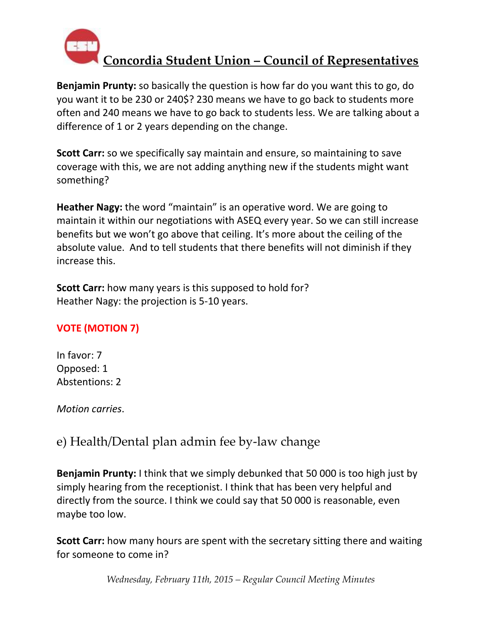

**Benjamin Prunty:** so basically the question is how far do you want this to go, do you want it to be 230 or 240\$? 230 means we have to go back to students more often and 240 means we have to go back to students less. We are talking about a difference of 1 or 2 years depending on the change.

**Scott Carr:** so we specifically say maintain and ensure, so maintaining to save coverage with this, we are not adding anything new if the students might want something?

**Heather Nagy:** the word "maintain" is an operative word. We are going to maintain it within our negotiations with ASEQ every year. So we can still increase benefits but we won't go above that ceiling. It's more about the ceiling of the absolute value. And to tell students that there benefits will not diminish if they increase this.

**Scott Carr:** how many years is this supposed to hold for? Heather Nagy: the projection is 5-10 years.

### **VOTE (MOTION 7)**

In favor: 7 Opposed: 1 Abstentions: 2

*Motion carries*.

### e) Health/Dental plan admin fee by-law change

**Benjamin Prunty:** I think that we simply debunked that 50 000 is too high just by simply hearing from the receptionist. I think that has been very helpful and directly from the source. I think we could say that 50 000 is reasonable, even maybe too low.

**Scott Carr:** how many hours are spent with the secretary sitting there and waiting for someone to come in?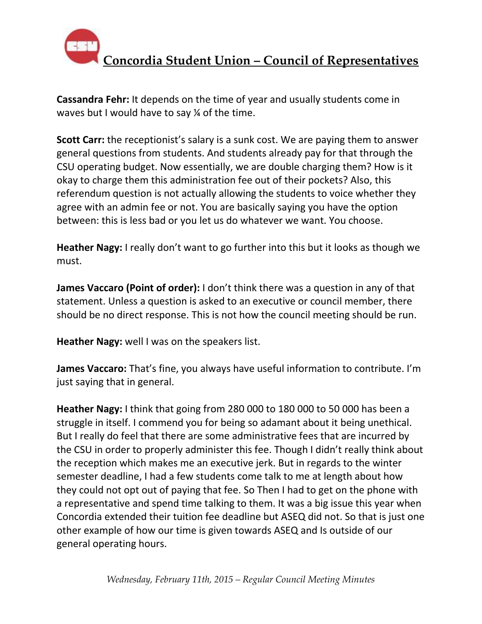

**Cassandra Fehr:** It depends on the time of year and usually students come in waves but I would have to say ¼ of the time.

**Scott Carr:** the receptionist's salary is a sunk cost. We are paying them to answer general questions from students. And students already pay for that through the CSU operating budget. Now essentially, we are double charging them? How is it okay to charge them this administration fee out of their pockets? Also, this referendum question is not actually allowing the students to voice whether they agree with an admin fee or not. You are basically saying you have the option between: this is less bad or you let us do whatever we want. You choose.

**Heather Nagy:** I really don't want to go further into this but it looks as though we must.

**James Vaccaro (Point of order):** I don't think there was a question in any of that statement. Unless a question is asked to an executive or council member, there should be no direct response. This is not how the council meeting should be run.

**Heather Nagy:** well I was on the speakers list.

**James Vaccaro:** That's fine, you always have useful information to contribute. I'm just saying that in general.

**Heather Nagy:** I think that going from 280 000 to 180 000 to 50 000 has been a struggle in itself. I commend you for being so adamant about it being unethical. But I really do feel that there are some administrative fees that are incurred by the CSU in order to properly administer this fee. Though I didn't really think about the reception which makes me an executive jerk. But in regards to the winter semester deadline, I had a few students come talk to me at length about how they could not opt out of paying that fee. So Then I had to get on the phone with a representative and spend time talking to them. It was a big issue this year when Concordia extended their tuition fee deadline but ASEQ did not. So that is just one other example of how our time is given towards ASEQ and Is outside of our general operating hours.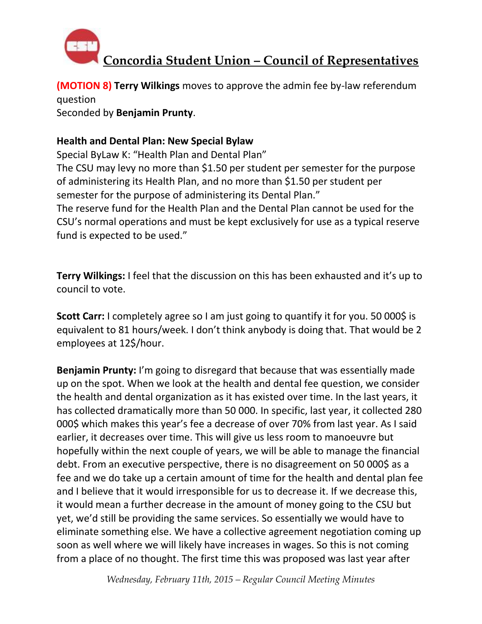

**(MOTION 8) Terry Wilkings** moves to approve the admin fee by-law referendum question

Seconded by **Benjamin Prunty**.

#### **Health and Dental Plan: New Special Bylaw**

Special ByLaw K: "Health Plan and Dental Plan"

The CSU may levy no more than \$1.50 per student per semester for the purpose of administering its Health Plan, and no more than \$1.50 per student per semester for the purpose of administering its Dental Plan."

The reserve fund for the Health Plan and the Dental Plan cannot be used for the CSU's normal operations and must be kept exclusively for use as a typical reserve fund is expected to be used."

**Terry Wilkings:** I feel that the discussion on this has been exhausted and it's up to council to vote.

**Scott Carr:** I completely agree so I am just going to quantify it for you. 50 000\$ is equivalent to 81 hours/week. I don't think anybody is doing that. That would be 2 employees at 12\$/hour.

**Benjamin Prunty:** I'm going to disregard that because that was essentially made up on the spot. When we look at the health and dental fee question, we consider the health and dental organization as it has existed over time. In the last years, it has collected dramatically more than 50 000. In specific, last year, it collected 280 000\$ which makes this year's fee a decrease of over 70% from last year. As I said earlier, it decreases over time. This will give us less room to manoeuvre but hopefully within the next couple of years, we will be able to manage the financial debt. From an executive perspective, there is no disagreement on 50 000\$ as a fee and we do take up a certain amount of time for the health and dental plan fee and I believe that it would irresponsible for us to decrease it. If we decrease this, it would mean a further decrease in the amount of money going to the CSU but yet, we'd still be providing the same services. So essentially we would have to eliminate something else. We have a collective agreement negotiation coming up soon as well where we will likely have increases in wages. So this is not coming from a place of no thought. The first time this was proposed was last year after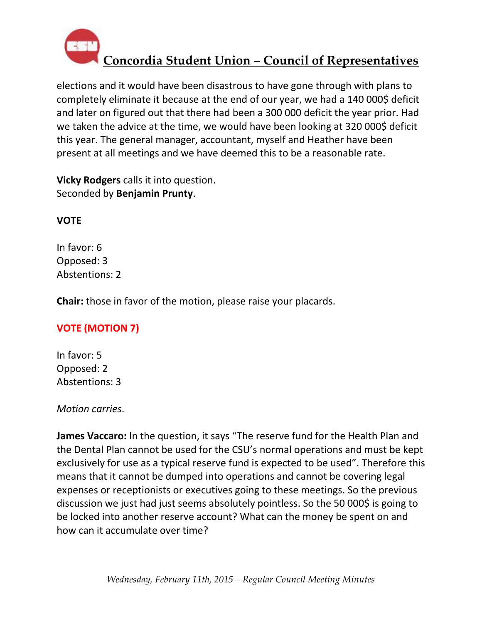

elections and it would have been disastrous to have gone through with plans to completely eliminate it because at the end of our year, we had a 140 000\$ deficit and later on figured out that there had been a 300 000 deficit the year prior. Had we taken the advice at the time, we would have been looking at 320 000\$ deficit this year. The general manager, accountant, myself and Heather have been present at all meetings and we have deemed this to be a reasonable rate.

**Vicky Rodgers** calls it into question. Seconded by **Benjamin Prunty**.

### **VOTE**

In favor: 6 Opposed: 3 Abstentions: 2

**Chair:** those in favor of the motion, please raise your placards.

### **VOTE (MOTION 7)**

In favor: 5 Opposed: 2 Abstentions: 3

#### *Motion carries*.

**James Vaccaro:** In the question, it says "The reserve fund for the Health Plan and the Dental Plan cannot be used for the CSU's normal operations and must be kept exclusively for use as a typical reserve fund is expected to be used". Therefore this means that it cannot be dumped into operations and cannot be covering legal expenses or receptionists or executives going to these meetings. So the previous discussion we just had just seems absolutely pointless. So the 50 000\$ is going to be locked into another reserve account? What can the money be spent on and how can it accumulate over time?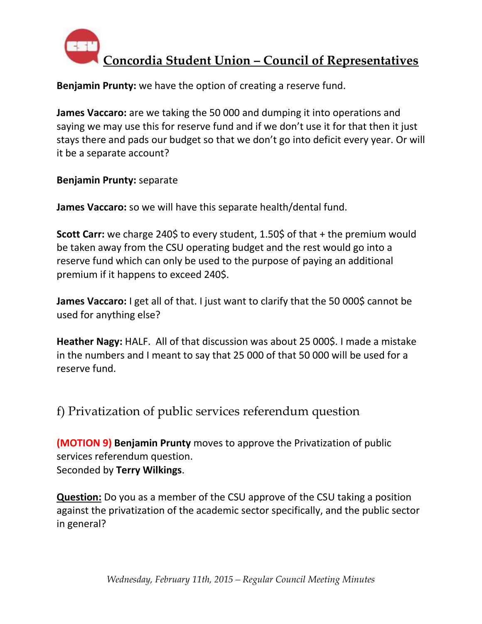

**Benjamin Prunty:** we have the option of creating a reserve fund.

**James Vaccaro:** are we taking the 50 000 and dumping it into operations and saying we may use this for reserve fund and if we don't use it for that then it just stays there and pads our budget so that we don't go into deficit every year. Or will it be a separate account?

**Benjamin Prunty:** separate

**James Vaccaro:** so we will have this separate health/dental fund.

**Scott Carr:** we charge 240\$ to every student, 1.50\$ of that + the premium would be taken away from the CSU operating budget and the rest would go into a reserve fund which can only be used to the purpose of paying an additional premium if it happens to exceed 240\$.

**James Vaccaro:** I get all of that. I just want to clarify that the 50 000\$ cannot be used for anything else?

**Heather Nagy:** HALF. All of that discussion was about 25 000\$. I made a mistake in the numbers and I meant to say that 25 000 of that 50 000 will be used for a reserve fund.

f) Privatization of public services referendum question

**(MOTION 9) Benjamin Prunty** moves to approve the Privatization of public services referendum question. Seconded by **Terry Wilkings**.

**Question:** Do you as a member of the CSU approve of the CSU taking a position against the privatization of the academic sector specifically, and the public sector in general?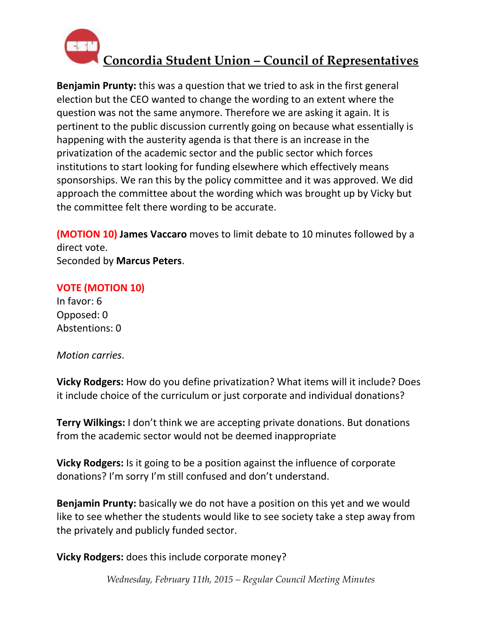

**Benjamin Prunty:** this was a question that we tried to ask in the first general election but the CEO wanted to change the wording to an extent where the question was not the same anymore. Therefore we are asking it again. It is pertinent to the public discussion currently going on because what essentially is happening with the austerity agenda is that there is an increase in the privatization of the academic sector and the public sector which forces institutions to start looking for funding elsewhere which effectively means sponsorships. We ran this by the policy committee and it was approved. We did approach the committee about the wording which was brought up by Vicky but the committee felt there wording to be accurate.

**(MOTION 10) James Vaccaro** moves to limit debate to 10 minutes followed by a direct vote. Seconded by **Marcus Peters**.

#### **VOTE (MOTION 10)**

In favor: 6 Opposed: 0 Abstentions: 0

*Motion carries*.

**Vicky Rodgers:** How do you define privatization? What items will it include? Does it include choice of the curriculum or just corporate and individual donations?

**Terry Wilkings:** I don't think we are accepting private donations. But donations from the academic sector would not be deemed inappropriate

**Vicky Rodgers:** Is it going to be a position against the influence of corporate donations? I'm sorry I'm still confused and don't understand.

**Benjamin Prunty:** basically we do not have a position on this yet and we would like to see whether the students would like to see society take a step away from the privately and publicly funded sector.

**Vicky Rodgers:** does this include corporate money?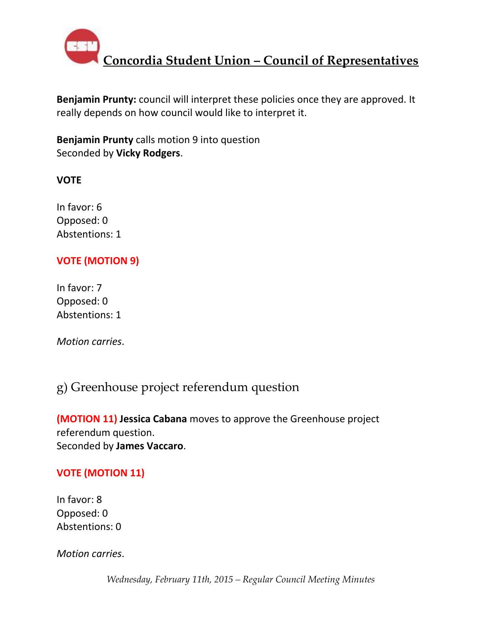

**Benjamin Prunty:** council will interpret these policies once they are approved. It really depends on how council would like to interpret it.

**Benjamin Prunty** calls motion 9 into question Seconded by **Vicky Rodgers**.

### **VOTE**

In favor: 6 Opposed: 0 Abstentions: 1

### **VOTE (MOTION 9)**

In favor: 7 Opposed: 0 Abstentions: 1

*Motion carries*.

### g) Greenhouse project referendum question

**(MOTION 11) Jessica Cabana** moves to approve the Greenhouse project referendum question. Seconded by **James Vaccaro**.

### **VOTE (MOTION 11)**

In favor: 8 Opposed: 0 Abstentions: 0

*Motion carries*.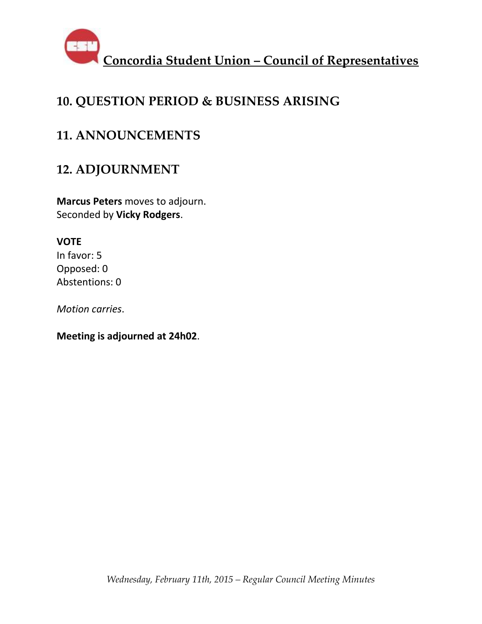

## **10. QUESTION PERIOD & BUSINESS ARISING**

### **11. ANNOUNCEMENTS**

### **12. ADJOURNMENT**

**Marcus Peters** moves to adjourn. Seconded by **Vicky Rodgers**.

### **VOTE**

In favor: 5 Opposed: 0 Abstentions: 0

*Motion carries*.

**Meeting is adjourned at 24h02**.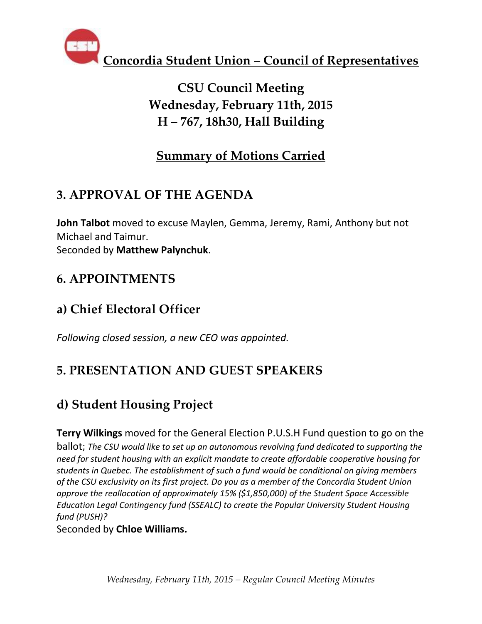

# **CSU Council Meeting Wednesday, February 11th, 2015 H – 767, 18h30, Hall Building**

## **Summary of Motions Carried**

## **3. APPROVAL OF THE AGENDA**

**John Talbot** moved to excuse Maylen, Gemma, Jeremy, Rami, Anthony but not Michael and Taimur. Seconded by **Matthew Palynchuk**.

## **6. APPOINTMENTS**

## **a) Chief Electoral Officer**

*Following closed session, a new CEO was appointed.*

# **5. PRESENTATION AND GUEST SPEAKERS**

# **d) Student Housing Project**

**Terry Wilkings** moved for the General Election P.U.S.H Fund question to go on the ballot; *The CSU would like to set up an autonomous revolving fund dedicated to supporting the need for student housing with an explicit mandate to create affordable cooperative housing for students in Quebec. The establishment of such a fund would be conditional on giving members of the CSU exclusivity on its first project. Do you as a member of the Concordia Student Union approve the reallocation of approximately 15% (\$1,850,000) of the Student Space Accessible Education Legal Contingency fund (SSEALC) to create the Popular University Student Housing fund (PUSH)?*

Seconded by **Chloe Williams.**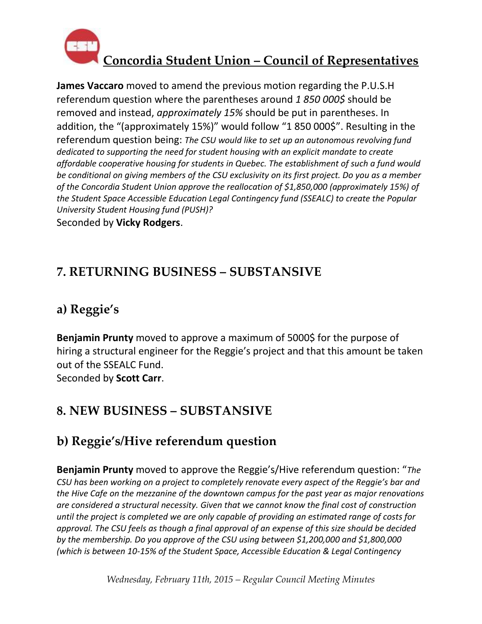

**James Vaccaro** moved to amend the previous motion regarding the P.U.S.H referendum question where the parentheses around *1 850 000\$* should be removed and instead, *approximately 15%* should be put in parentheses. In addition, the "(approximately 15%)" would follow "1 850 000\$". Resulting in the referendum question being: *The CSU would like to set up an autonomous revolving fund dedicated to supporting the need for student housing with an explicit mandate to create affordable cooperative housing for students in Quebec. The establishment of such a fund would be conditional on giving members of the CSU exclusivity on its first project. Do you as a member of the Concordia Student Union approve the reallocation of \$1,850,000 (approximately 15%) of the Student Space Accessible Education Legal Contingency fund (SSEALC) to create the Popular University Student Housing fund (PUSH)?* Seconded by **Vicky Rodgers**.

### **7. RETURNING BUSINESS – SUBSTANSIVE**

## **a) Reggie's**

**Benjamin Prunty** moved to approve a maximum of 5000\$ for the purpose of hiring a structural engineer for the Reggie's project and that this amount be taken out of the SSEALC Fund.

Seconded by **Scott Carr**.

## **8. NEW BUSINESS – SUBSTANSIVE**

## **b) Reggie's/Hive referendum question**

**Benjamin Prunty** moved to approve the Reggie's/Hive referendum question: "*The CSU has been working on a project to completely renovate every aspect of the Reggie's bar and the Hive Cafe on the mezzanine of the downtown campus for the past year as major renovations are considered a structural necessity. Given that we cannot know the final cost of construction until the project is completed we are only capable of providing an estimated range of costs for approval. The CSU feels as though a final approval of an expense of this size should be decided by the membership. Do you approve of the CSU using between \$1,200,000 and \$1,800,000 (which is between 10-15% of the Student Space, Accessible Education & Legal Contingency*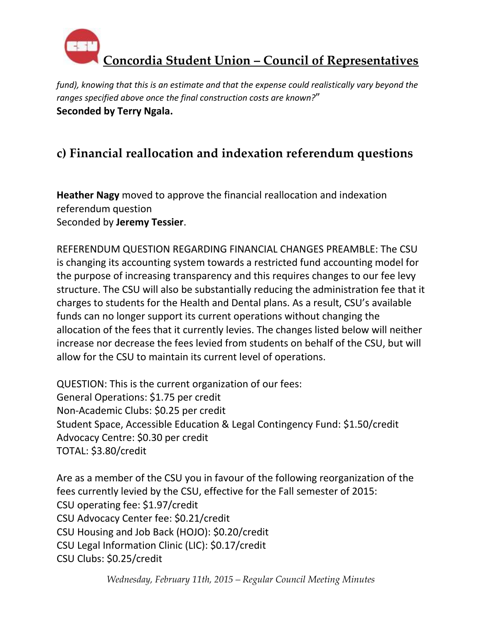

*fund), knowing that this is an estimate and that the expense could realistically vary beyond the ranges specified above once the final construction costs are known?*" **Seconded by Terry Ngala.** 

## **c) Financial reallocation and indexation referendum questions**

**Heather Nagy** moved to approve the financial reallocation and indexation referendum question Seconded by **Jeremy Tessier**.

REFERENDUM QUESTION REGARDING FINANCIAL CHANGES PREAMBLE: The CSU is changing its accounting system towards a restricted fund accounting model for the purpose of increasing transparency and this requires changes to our fee levy structure. The CSU will also be substantially reducing the administration fee that it charges to students for the Health and Dental plans. As a result, CSU's available funds can no longer support its current operations without changing the allocation of the fees that it currently levies. The changes listed below will neither increase nor decrease the fees levied from students on behalf of the CSU, but will allow for the CSU to maintain its current level of operations.

QUESTION: This is the current organization of our fees: General Operations: \$1.75 per credit Non-Academic Clubs: \$0.25 per credit Student Space, Accessible Education & Legal Contingency Fund: \$1.50/credit Advocacy Centre: \$0.30 per credit TOTAL: \$3.80/credit

Are as a member of the CSU you in favour of the following reorganization of the fees currently levied by the CSU, effective for the Fall semester of 2015: CSU operating fee: \$1.97/credit CSU Advocacy Center fee: \$0.21/credit CSU Housing and Job Back (HOJO): \$0.20/credit CSU Legal Information Clinic (LIC): \$0.17/credit CSU Clubs: \$0.25/credit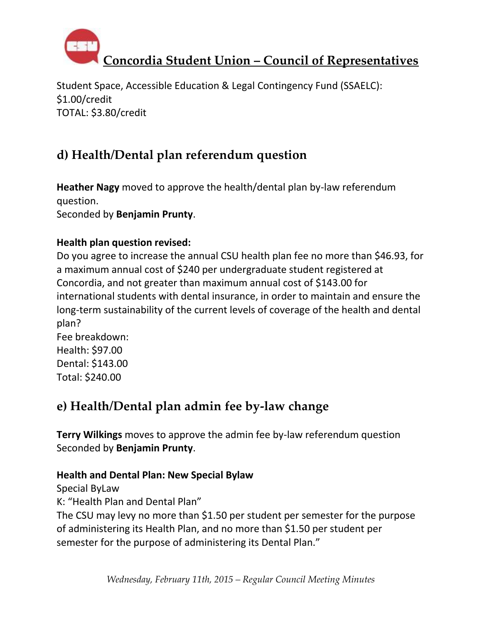

Student Space, Accessible Education & Legal Contingency Fund (SSAELC): \$1.00/credit TOTAL: \$3.80/credit

# **d) Health/Dental plan referendum question**

**Heather Nagy** moved to approve the health/dental plan by-law referendum question. Seconded by **Benjamin Prunty**.

### **Health plan question revised:**

Do you agree to increase the annual CSU health plan fee no more than \$46.93, for a maximum annual cost of \$240 per undergraduate student registered at Concordia, and not greater than maximum annual cost of \$143.00 for international students with dental insurance, in order to maintain and ensure the long-term sustainability of the current levels of coverage of the health and dental plan?

Fee breakdown: Health: \$97.00 Dental: \$143.00 Total: \$240.00

## **e) Health/Dental plan admin fee by-law change**

**Terry Wilkings** moves to approve the admin fee by-law referendum question Seconded by **Benjamin Prunty**.

### **Health and Dental Plan: New Special Bylaw**

Special ByLaw K: "Health Plan and Dental Plan" The CSU may levy no more than \$1.50 per student per semester for the purpose of administering its Health Plan, and no more than \$1.50 per student per semester for the purpose of administering its Dental Plan."